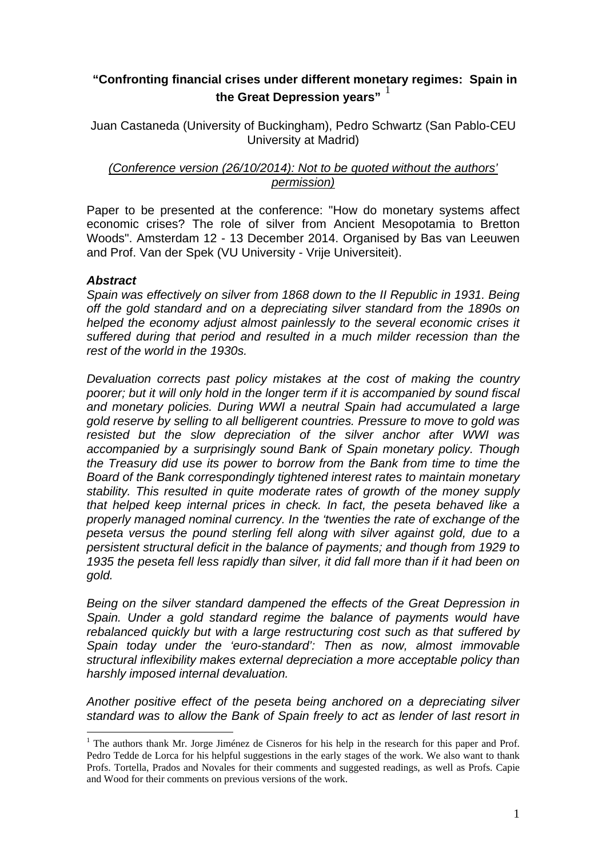# **"Confronting financial crises under different monetary regimes: Spain in**  the Great Depression years"<sup>1</sup>

Juan Castaneda (University of Buckingham), Pedro Schwartz (San Pablo-CEU University at Madrid)

## *(Conference version (26/10/2014): Not to be quoted without the authors' permission)*

Paper to be presented at the conference: "How do monetary systems affect economic crises? The role of silver from Ancient Mesopotamia to Bretton Woods". Amsterdam 12 - 13 December 2014. Organised by Bas van Leeuwen and Prof. Van der Spek (VU University - Vrije Universiteit).

## *Abstract*

 $\overline{a}$ 

*Spain was effectively on silver from 1868 down to the II Republic in 1931. Being off the gold standard and on a depreciating silver standard from the 1890s on helped the economy adjust almost painlessly to the several economic crises it suffered during that period and resulted in a much milder recession than the rest of the world in the 1930s.* 

*Devaluation corrects past policy mistakes at the cost of making the country poorer; but it will only hold in the longer term if it is accompanied by sound fiscal and monetary policies. During WWI a neutral Spain had accumulated a large gold reserve by selling to all belligerent countries. Pressure to move to gold was resisted but the slow depreciation of the silver anchor after WWI was accompanied by a surprisingly sound Bank of Spain monetary policy. Though the Treasury did use its power to borrow from the Bank from time to time the Board of the Bank correspondingly tightened interest rates to maintain monetary stability. This resulted in quite moderate rates of growth of the money supply that helped keep internal prices in check. In fact, the peseta behaved like a properly managed nominal currency. In the 'twenties the rate of exchange of the peseta versus the pound sterling fell along with silver against gold, due to a persistent structural deficit in the balance of payments; and though from 1929 to 1935 the peseta fell less rapidly than silver, it did fall more than if it had been on gold.* 

*Being on the silver standard dampened the effects of the Great Depression in Spain. Under a gold standard regime the balance of payments would have rebalanced quickly but with a large restructuring cost such as that suffered by Spain today under the 'euro-standard': Then as now, almost immovable structural inflexibility makes external depreciation a more acceptable policy than harshly imposed internal devaluation.* 

*Another positive effect of the peseta being anchored on a depreciating silver standard was to allow the Bank of Spain freely to act as lender of last resort in* 

<sup>&</sup>lt;sup>1</sup> The authors thank Mr. Jorge Jiménez de Cisneros for his help in the research for this paper and Prof. Pedro Tedde de Lorca for his helpful suggestions in the early stages of the work. We also want to thank Profs. Tortella, Prados and Novales for their comments and suggested readings, as well as Profs. Capie and Wood for their comments on previous versions of the work.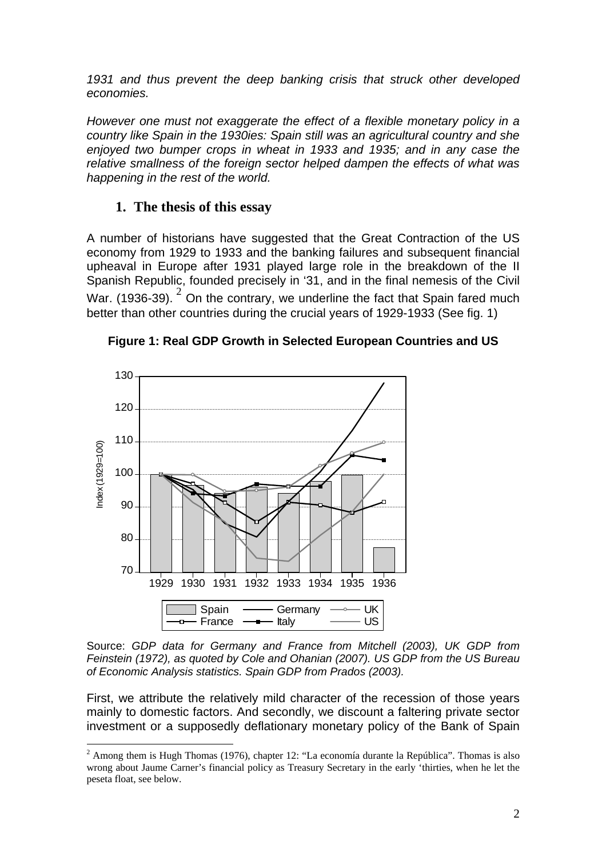*1931 and thus prevent the deep banking crisis that struck other developed economies.* 

*However one must not exaggerate the effect of a flexible monetary policy in a country like Spain in the 1930ies: Spain still was an agricultural country and she enjoyed two bumper crops in wheat in 1933 and 1935; and in any case the relative smallness of the foreign sector helped dampen the effects of what was happening in the rest of the world.* 

# **1. The thesis of this essay**

A number of historians have suggested that the Great Contraction of the US economy from 1929 to 1933 and the banking failures and subsequent financial upheaval in Europe after 1931 played large role in the breakdown of the II Spanish Republic, founded precisely in '31, and in the final nemesis of the Civil War. (1936-39).  $^2$  On the contrary, we underline the fact that Spain fared much better than other countries during the crucial years of 1929-1933 (See fig. 1)



 $\overline{a}$ 

**Figure 1: Real GDP Growth in Selected European Countries and US** 

Source: *GDP data for Germany and France from Mitchell (2003), UK GDP from Feinstein (1972), as quoted by Cole and Ohanian (2007). US GDP from the US Bureau of Economic Analysis statistics. Spain GDP from Prados (2003).* 

First, we attribute the relatively mild character of the recession of those years mainly to domestic factors. And secondly, we discount a faltering private sector investment or a supposedly deflationary monetary policy of the Bank of Spain

 $2$  Among them is Hugh Thomas (1976), chapter 12: "La economía durante la República". Thomas is also wrong about Jaume Carner's financial policy as Treasury Secretary in the early 'thirties, when he let the peseta float, see below.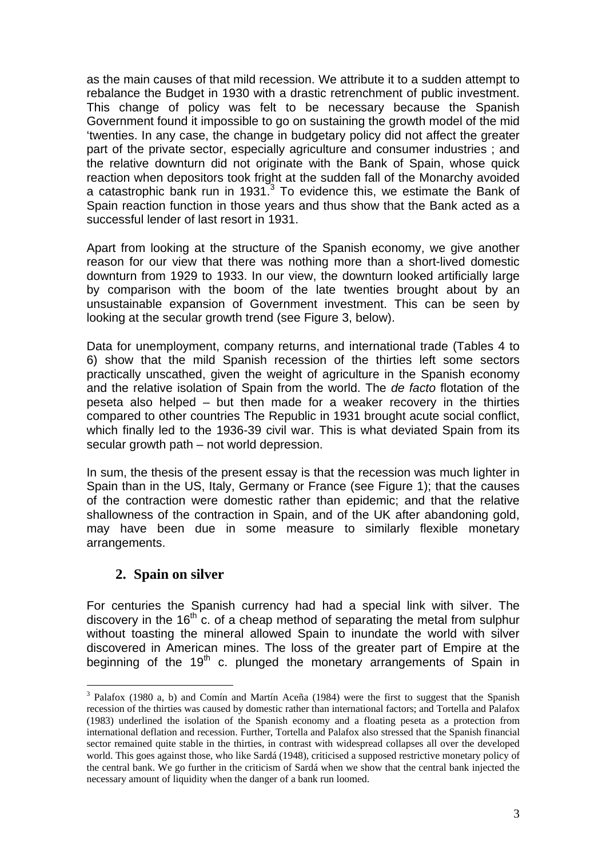as the main causes of that mild recession. We attribute it to a sudden attempt to rebalance the Budget in 1930 with a drastic retrenchment of public investment. This change of policy was felt to be necessary because the Spanish Government found it impossible to go on sustaining the growth model of the mid 'twenties. In any case, the change in budgetary policy did not affect the greater part of the private sector, especially agriculture and consumer industries ; and the relative downturn did not originate with the Bank of Spain, whose quick reaction when depositors took fright at the sudden fall of the Monarchy avoided a catastrophic bank run in 1931. $3$  To evidence this, we estimate the Bank of Spain reaction function in those years and thus show that the Bank acted as a successful lender of last resort in 1931.

Apart from looking at the structure of the Spanish economy, we give another reason for our view that there was nothing more than a short-lived domestic downturn from 1929 to 1933. In our view, the downturn looked artificially large by comparison with the boom of the late twenties brought about by an unsustainable expansion of Government investment. This can be seen by looking at the secular growth trend (see Figure 3, below).

Data for unemployment, company returns, and international trade (Tables 4 to 6) show that the mild Spanish recession of the thirties left some sectors practically unscathed, given the weight of agriculture in the Spanish economy and the relative isolation of Spain from the world. The *de facto* flotation of the peseta also helped – but then made for a weaker recovery in the thirties compared to other countries The Republic in 1931 brought acute social conflict, which finally led to the 1936-39 civil war. This is what deviated Spain from its secular growth path – not world depression.

In sum, the thesis of the present essay is that the recession was much lighter in Spain than in the US, Italy, Germany or France (see Figure 1); that the causes of the contraction were domestic rather than epidemic; and that the relative shallowness of the contraction in Spain, and of the UK after abandoning gold, may have been due in some measure to similarly flexible monetary arrangements.

## **2. Spain on silver**

 $\overline{a}$ 

For centuries the Spanish currency had had a special link with silver. The discovery in the  $16<sup>th</sup>$  c. of a cheap method of separating the metal from sulphur without toasting the mineral allowed Spain to inundate the world with silver discovered in American mines. The loss of the greater part of Empire at the beginning of the  $19<sup>th</sup>$  c. plunged the monetary arrangements of Spain in

<sup>&</sup>lt;sup>3</sup> Palafox (1980 a, b) and Comín and Martín Aceña (1984) were the first to suggest that the Spanish recession of the thirties was caused by domestic rather than international factors; and Tortella and Palafox (1983) underlined the isolation of the Spanish economy and a floating peseta as a protection from international deflation and recession. Further, Tortella and Palafox also stressed that the Spanish financial sector remained quite stable in the thirties, in contrast with widespread collapses all over the developed world. This goes against those, who like Sardá (1948), criticised a supposed restrictive monetary policy of the central bank. We go further in the criticism of Sardá when we show that the central bank injected the necessary amount of liquidity when the danger of a bank run loomed.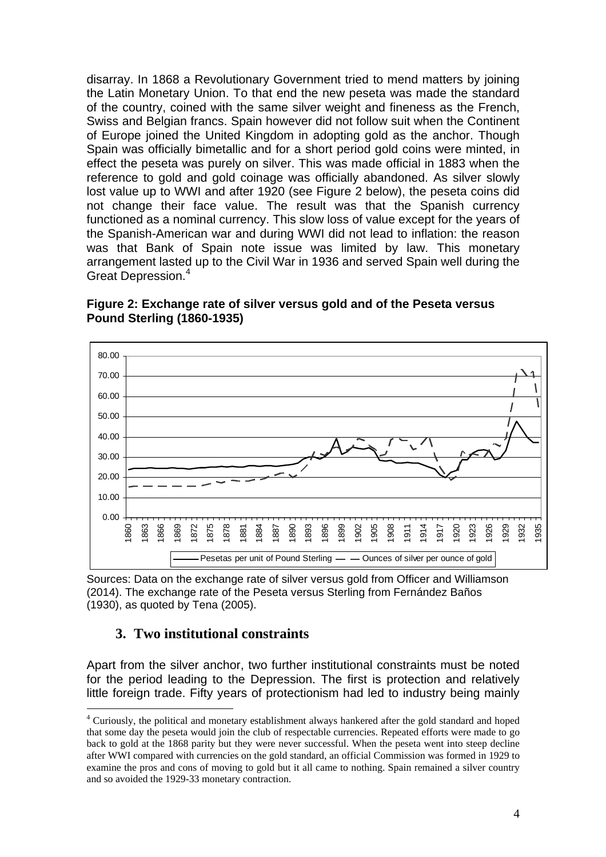disarray. In 1868 a Revolutionary Government tried to mend matters by joining the Latin Monetary Union. To that end the new peseta was made the standard of the country, coined with the same silver weight and fineness as the French, Swiss and Belgian francs. Spain however did not follow suit when the Continent of Europe joined the United Kingdom in adopting gold as the anchor. Though Spain was officially bimetallic and for a short period gold coins were minted, in effect the peseta was purely on silver. This was made official in 1883 when the reference to gold and gold coinage was officially abandoned. As silver slowly lost value up to WWI and after 1920 (see Figure 2 below), the peseta coins did not change their face value. The result was that the Spanish currency functioned as a nominal currency. This slow loss of value except for the years of the Spanish-American war and during WWI did not lead to inflation: the reason was that Bank of Spain note issue was limited by law. This monetary arrangement lasted up to the Civil War in 1936 and served Spain well during the Great Depression.<sup>4</sup>

**Figure 2: Exchange rate of silver versus gold and of the Peseta versus Pound Sterling (1860-1935)** 



Sources: Data on the exchange rate of silver versus gold from Officer and Williamson (2014). The exchange rate of the Peseta versus Sterling from Fernández Baños (1930), as quoted by Tena (2005).

## **3. Two institutional constraints**

 $\overline{a}$ 

Apart from the silver anchor, two further institutional constraints must be noted for the period leading to the Depression. The first is protection and relatively little foreign trade. Fifty years of protectionism had led to industry being mainly

<sup>&</sup>lt;sup>4</sup> Curiously, the political and monetary establishment always hankered after the gold standard and hoped that some day the peseta would join the club of respectable currencies. Repeated efforts were made to go back to gold at the 1868 parity but they were never successful. When the peseta went into steep decline after WWI compared with currencies on the gold standard, an official Commission was formed in 1929 to examine the pros and cons of moving to gold but it all came to nothing. Spain remained a silver country and so avoided the 1929-33 monetary contraction.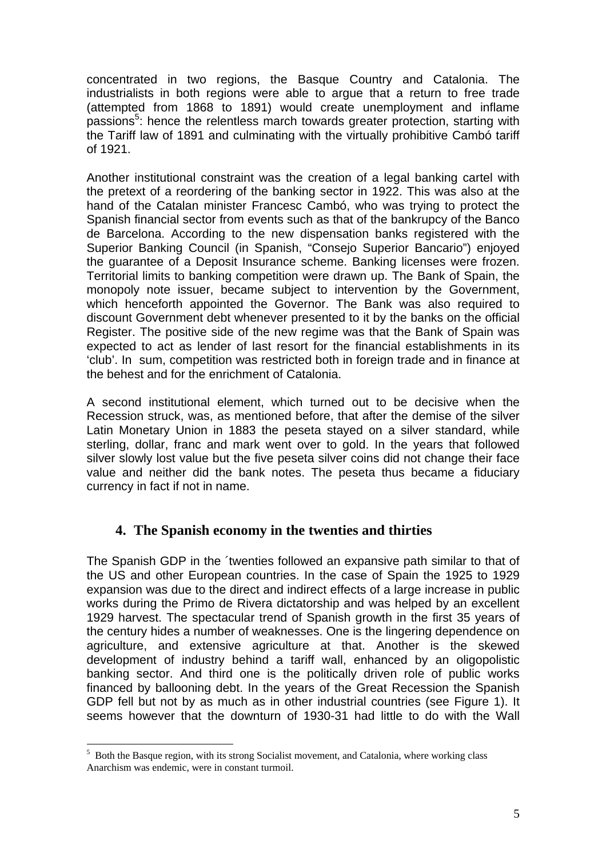concentrated in two regions, the Basque Country and Catalonia. The industrialists in both regions were able to argue that a return to free trade (attempted from 1868 to 1891) would create unemployment and inflame passions<sup>5</sup>: hence the relentless march towards greater protection, starting with the Tariff law of 1891 and culminating with the virtually prohibitive Cambó tariff of 1921.

Another institutional constraint was the creation of a legal banking cartel with the pretext of a reordering of the banking sector in 1922. This was also at the hand of the Catalan minister Francesc Cambó, who was trying to protect the Spanish financial sector from events such as that of the bankrupcy of the Banco de Barcelona. According to the new dispensation banks registered with the Superior Banking Council (in Spanish, "Consejo Superior Bancario") enjoyed the guarantee of a Deposit Insurance scheme. Banking licenses were frozen. Territorial limits to banking competition were drawn up. The Bank of Spain, the monopoly note issuer, became subject to intervention by the Government, which henceforth appointed the Governor. The Bank was also required to discount Government debt whenever presented to it by the banks on the official Register. The positive side of the new regime was that the Bank of Spain was expected to act as lender of last resort for the financial establishments in its 'club'. In sum, competition was restricted both in foreign trade and in finance at the behest and for the enrichment of Catalonia.

A second institutional element, which turned out to be decisive when the Recession struck, was, as mentioned before, that after the demise of the silver Latin Monetary Union in 1883 the peseta stayed on a silver standard, while sterling, dollar, franc and mark went over to gold. In the years that followed silver slowly lost value but the five peseta silver coins did not change their face value and neither did the bank notes. The peseta thus became a fiduciary currency in fact if not in name.

# **4. The Spanish economy in the twenties and thirties**

The Spanish GDP in the ´twenties followed an expansive path similar to that of the US and other European countries. In the case of Spain the 1925 to 1929 expansion was due to the direct and indirect effects of a large increase in public works during the Primo de Rivera dictatorship and was helped by an excellent 1929 harvest. The spectacular trend of Spanish growth in the first 35 years of the century hides a number of weaknesses. One is the lingering dependence on agriculture, and extensive agriculture at that. Another is the skewed development of industry behind a tariff wall, enhanced by an oligopolistic banking sector. And third one is the politically driven role of public works financed by ballooning debt. In the years of the Great Recession the Spanish GDP fell but not by as much as in other industrial countries (see Figure 1). It seems however that the downturn of 1930-31 had little to do with the Wall

 $\overline{a}$ 

<sup>&</sup>lt;sup>5</sup> Both the Basque region, with its strong Socialist movement, and Catalonia, where working class Anarchism was endemic, were in constant turmoil.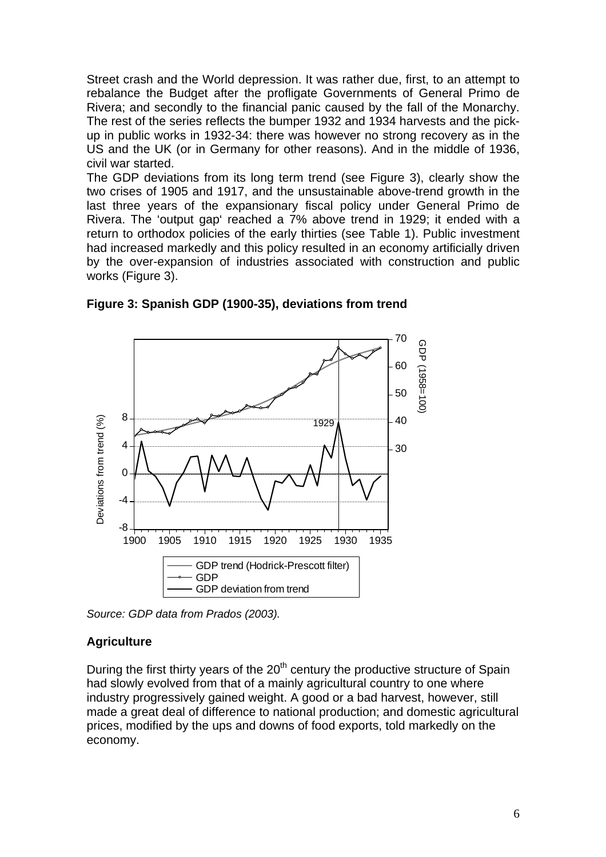Street crash and the World depression. It was rather due, first, to an attempt to rebalance the Budget after the profligate Governments of General Primo de Rivera; and secondly to the financial panic caused by the fall of the Monarchy. The rest of the series reflects the bumper 1932 and 1934 harvests and the pickup in public works in 1932-34: there was however no strong recovery as in the US and the UK (or in Germany for other reasons). And in the middle of 1936, civil war started.

The GDP deviations from its long term trend (see Figure 3), clearly show the two crises of 1905 and 1917, and the unsustainable above-trend growth in the last three years of the expansionary fiscal policy under General Primo de Rivera. The 'output gap' reached a 7% above trend in 1929; it ended with a return to orthodox policies of the early thirties (see Table 1). Public investment had increased markedly and this policy resulted in an economy artificially driven by the over-expansion of industries associated with construction and public works (Figure 3).



**Figure 3: Spanish GDP (1900-35), deviations from trend**

*Source: GDP data from Prados (2003).*

## **Agriculture**

During the first thirty years of the  $20<sup>th</sup>$  century the productive structure of Spain had slowly evolved from that of a mainly agricultural country to one where industry progressively gained weight. A good or a bad harvest, however, still made a great deal of difference to national production; and domestic agricultural prices, modified by the ups and downs of food exports, told markedly on the economy.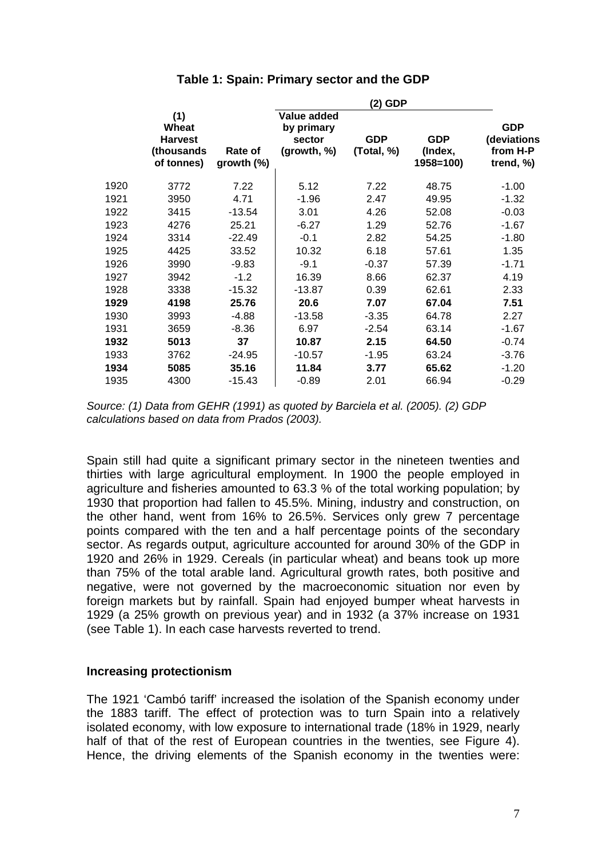| Table 1: Spain: Primary sector and the GDP |  |  |
|--------------------------------------------|--|--|
|--------------------------------------------|--|--|

|      |                                                            |                          |                                                    | (2) GDP                  |                                    |                                                    |
|------|------------------------------------------------------------|--------------------------|----------------------------------------------------|--------------------------|------------------------------------|----------------------------------------------------|
|      | (1)<br>Wheat<br><b>Harvest</b><br>(thousands<br>of tonnes) | Rate of<br>growth $(\%)$ | Value added<br>by primary<br>sector<br>(growth, %) | <b>GDP</b><br>(Total, %) | <b>GDP</b><br>(Index,<br>1958=100) | <b>GDP</b><br>(deviations<br>from H-P<br>trend, %) |
| 1920 | 3772                                                       | 7.22                     | 5.12                                               | 7.22                     | 48.75                              | $-1.00$                                            |
| 1921 | 3950                                                       | 4.71                     | $-1.96$                                            | 2.47                     | 49.95                              | $-1.32$                                            |
| 1922 | 3415                                                       | $-13.54$                 | 3.01                                               | 4.26                     | 52.08                              | $-0.03$                                            |
| 1923 | 4276                                                       | 25.21                    | $-6.27$                                            | 1.29                     | 52.76                              | $-1.67$                                            |
| 1924 | 3314                                                       | $-22.49$                 | $-0.1$                                             | 2.82                     | 54.25                              | $-1.80$                                            |
| 1925 | 4425                                                       | 33.52                    | 10.32                                              | 6.18                     | 57.61                              | 1.35                                               |
| 1926 | 3990                                                       | $-9.83$                  | $-9.1$                                             | $-0.37$                  | 57.39                              | $-1.71$                                            |
| 1927 | 3942                                                       | $-1.2$                   | 16.39                                              | 8.66                     | 62.37                              | 4.19                                               |
| 1928 | 3338                                                       | $-15.32$                 | $-13.87$                                           | 0.39                     | 62.61                              | 2.33                                               |
| 1929 | 4198                                                       | 25.76                    | 20.6                                               | 7.07                     | 67.04                              | 7.51                                               |
| 1930 | 3993                                                       | -4.88                    | $-13.58$                                           | $-3.35$                  | 64.78                              | 2.27                                               |
| 1931 | 3659                                                       | $-8.36$                  | 6.97                                               | $-2.54$                  | 63.14                              | $-1.67$                                            |
| 1932 | 5013                                                       | 37                       | 10.87                                              | 2.15                     | 64.50                              | $-0.74$                                            |
| 1933 | 3762                                                       | $-24.95$                 | $-10.57$                                           | $-1.95$                  | 63.24                              | $-3.76$                                            |
| 1934 | 5085                                                       | 35.16                    | 11.84                                              | 3.77                     | 65.62                              | $-1.20$                                            |
| 1935 | 4300                                                       | -15.43                   | $-0.89$                                            | 2.01                     | 66.94                              | $-0.29$                                            |
|      |                                                            |                          |                                                    |                          |                                    |                                                    |

*Source: (1) Data from GEHR (1991) as quoted by Barciela et al. (2005). (2) GDP calculations based on data from Prados (2003).*

Spain still had quite a significant primary sector in the nineteen twenties and thirties with large agricultural employment. In 1900 the people employed in agriculture and fisheries amounted to 63.3 % of the total working population; by 1930 that proportion had fallen to 45.5%. Mining, industry and construction, on the other hand, went from 16% to 26.5%. Services only grew 7 percentage points compared with the ten and a half percentage points of the secondary sector. As regards output, agriculture accounted for around 30% of the GDP in 1920 and 26% in 1929. Cereals (in particular wheat) and beans took up more than 75% of the total arable land. Agricultural growth rates, both positive and negative, were not governed by the macroeconomic situation nor even by foreign markets but by rainfall. Spain had enjoyed bumper wheat harvests in 1929 (a 25% growth on previous year) and in 1932 (a 37% increase on 1931 (see Table 1). In each case harvests reverted to trend.

#### **Increasing protectionism**

The 1921 'Cambó tariff' increased the isolation of the Spanish economy under the 1883 tariff. The effect of protection was to turn Spain into a relatively isolated economy, with low exposure to international trade (18% in 1929, nearly half of that of the rest of European countries in the twenties, see Figure 4). Hence, the driving elements of the Spanish economy in the twenties were: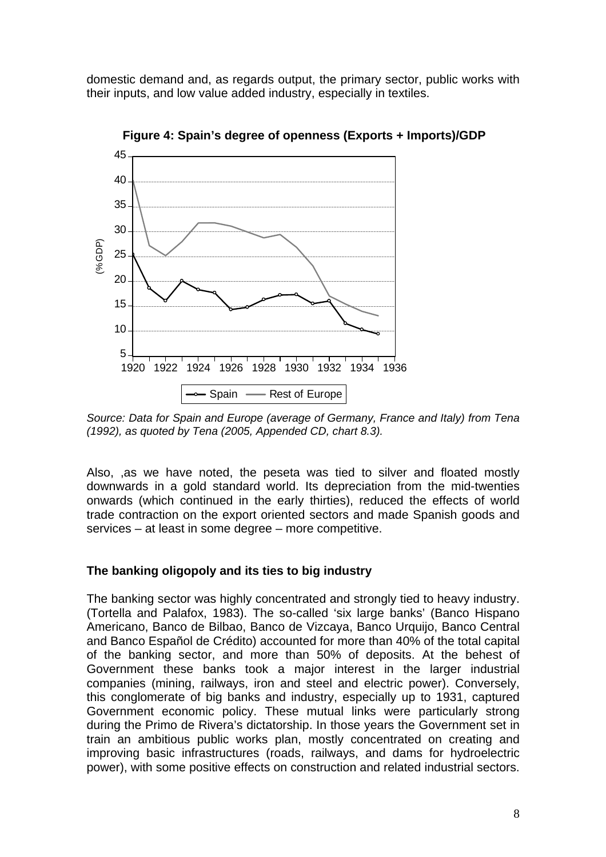domestic demand and, as regards output, the primary sector, public works with their inputs, and low value added industry, especially in textiles.



**Figure 4: Spain's degree of openness (Exports + Imports)/GDP** 

*Source: Data for Spain and Europe (average of Germany, France and Italy) from Tena (1992), as quoted by Tena (2005, Appended CD, chart 8.3).* 

Also, ,as we have noted, the peseta was tied to silver and floated mostly downwards in a gold standard world. Its depreciation from the mid-twenties onwards (which continued in the early thirties), reduced the effects of world trade contraction on the export oriented sectors and made Spanish goods and services – at least in some degree – more competitive.

## **The banking oligopoly and its ties to big industry**

The banking sector was highly concentrated and strongly tied to heavy industry. (Tortella and Palafox, 1983). The so-called 'six large banks' (Banco Hispano Americano, Banco de Bilbao, Banco de Vizcaya, Banco Urquijo, Banco Central and Banco Español de Crédito) accounted for more than 40% of the total capital of the banking sector, and more than 50% of deposits. At the behest of Government these banks took a major interest in the larger industrial companies (mining, railways, iron and steel and electric power). Conversely, this conglomerate of big banks and industry, especially up to 1931, captured Government economic policy. These mutual links were particularly strong during the Primo de Rivera's dictatorship. In those years the Government set in train an ambitious public works plan, mostly concentrated on creating and improving basic infrastructures (roads, railways, and dams for hydroelectric power), with some positive effects on construction and related industrial sectors.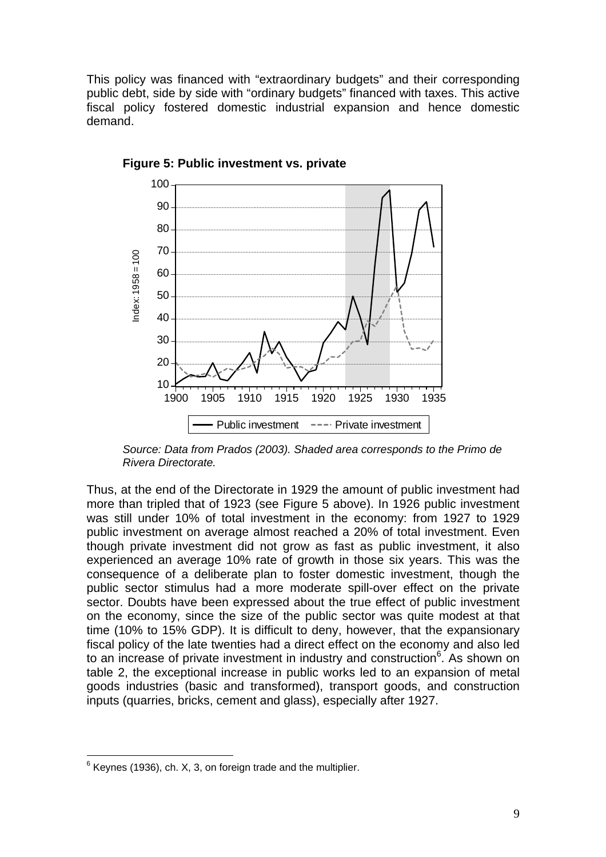This policy was financed with "extraordinary budgets" and their corresponding public debt, side by side with "ordinary budgets" financed with taxes. This active fiscal policy fostered domestic industrial expansion and hence domestic demand.



**Figure 5: Public investment vs. private** 

*Source: Data from Prados (2003). Shaded area corresponds to the Primo de Rivera Directorate.*

Thus, at the end of the Directorate in 1929 the amount of public investment had more than tripled that of 1923 (see Figure 5 above). In 1926 public investment was still under 10% of total investment in the economy: from 1927 to 1929 public investment on average almost reached a 20% of total investment. Even though private investment did not grow as fast as public investment, it also experienced an average 10% rate of growth in those six years. This was the consequence of a deliberate plan to foster domestic investment, though the public sector stimulus had a more moderate spill-over effect on the private sector. Doubts have been expressed about the true effect of public investment on the economy, since the size of the public sector was quite modest at that time (10% to 15% GDP). It is difficult to deny, however, that the expansionary fiscal policy of the late twenties had a direct effect on the economy and also led to an increase of private investment in industry and construction<sup>6</sup>. As shown on table 2, the exceptional increase in public works led to an expansion of metal goods industries (basic and transformed), transport goods, and construction inputs (quarries, bricks, cement and glass), especially after 1927.

 $\overline{a}$  $6$  Keynes (1936), ch. X, 3, on foreign trade and the multiplier.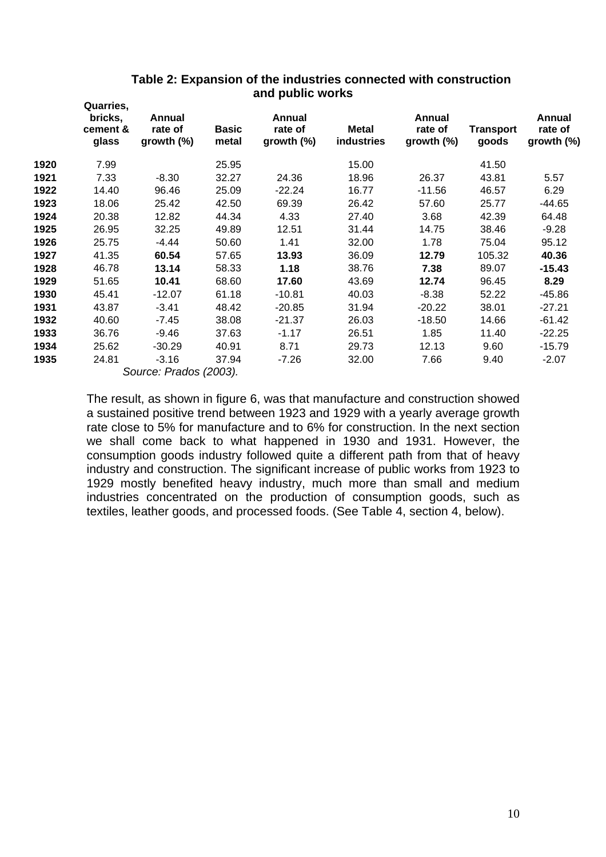|      | Quarries,<br>bricks,<br>cement &<br>glass | Annual<br>rate of<br>growth $(\%)$ | <b>Basic</b><br>metal | Annual<br>rate of<br>growth $(\%)$ | <b>Metal</b><br>industries | Annual<br>rate of<br>growth $(\%)$ | <b>Transport</b><br>goods | Annual<br>rate of<br>growth (%) |
|------|-------------------------------------------|------------------------------------|-----------------------|------------------------------------|----------------------------|------------------------------------|---------------------------|---------------------------------|
| 1920 | 7.99                                      |                                    | 25.95                 |                                    | 15.00                      |                                    | 41.50                     |                                 |
| 1921 | 7.33                                      | $-8.30$                            | 32.27                 | 24.36                              | 18.96                      | 26.37                              | 43.81                     | 5.57                            |
| 1922 | 14.40                                     | 96.46                              | 25.09                 | $-22.24$                           | 16.77                      | $-11.56$                           | 46.57                     | 6.29                            |
| 1923 | 18.06                                     | 25.42                              | 42.50                 | 69.39                              | 26.42                      | 57.60                              | 25.77                     | $-44.65$                        |
| 1924 | 20.38                                     | 12.82                              | 44.34                 | 4.33                               | 27.40                      | 3.68                               | 42.39                     | 64.48                           |
| 1925 | 26.95                                     | 32.25                              | 49.89                 | 12.51                              | 31.44                      | 14.75                              | 38.46                     | $-9.28$                         |
| 1926 | 25.75                                     | $-4.44$                            | 50.60                 | 1.41                               | 32.00                      | 1.78                               | 75.04                     | 95.12                           |
| 1927 | 41.35                                     | 60.54                              | 57.65                 | 13.93                              | 36.09                      | 12.79                              | 105.32                    | 40.36                           |
| 1928 | 46.78                                     | 13.14                              | 58.33                 | 1.18                               | 38.76                      | 7.38                               | 89.07                     | $-15.43$                        |
| 1929 | 51.65                                     | 10.41                              | 68.60                 | 17.60                              | 43.69                      | 12.74                              | 96.45                     | 8.29                            |
| 1930 | 45.41                                     | $-12.07$                           | 61.18                 | $-10.81$                           | 40.03                      | $-8.38$                            | 52.22                     | -45.86                          |
| 1931 | 43.87                                     | $-3.41$                            | 48.42                 | $-20.85$                           | 31.94                      | $-20.22$                           | 38.01                     | $-27.21$                        |
| 1932 | 40.60                                     | $-7.45$                            | 38.08                 | $-21.37$                           | 26.03                      | $-18.50$                           | 14.66                     | $-61.42$                        |
| 1933 | 36.76                                     | $-9.46$                            | 37.63                 | $-1.17$                            | 26.51                      | 1.85                               | 11.40                     | $-22.25$                        |
| 1934 | 25.62                                     | $-30.29$                           | 40.91                 | 8.71                               | 29.73                      | 12.13                              | 9.60                      | $-15.79$                        |
| 1935 | 24.81                                     | $-3.16$                            | 37.94                 | $-7.26$                            | 32.00                      | 7.66                               | 9.40                      | $-2.07$                         |
|      |                                           | Source: Prados (2003).             |                       |                                    |                            |                                    |                           |                                 |

## **Table 2: Expansion of the industries connected with construction and public works**

The result, as shown in figure 6, was that manufacture and construction showed a sustained positive trend between 1923 and 1929 with a yearly average growth rate close to 5% for manufacture and to 6% for construction. In the next section we shall come back to what happened in 1930 and 1931. However, the consumption goods industry followed quite a different path from that of heavy industry and construction. The significant increase of public works from 1923 to 1929 mostly benefited heavy industry, much more than small and medium industries concentrated on the production of consumption goods, such as textiles, leather goods, and processed foods. (See Table 4, section 4, below).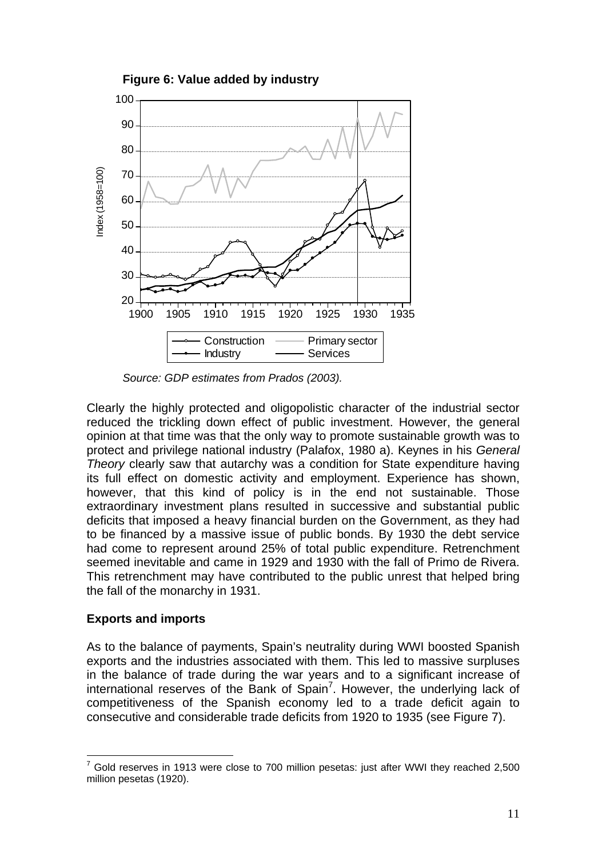

*Source: GDP estimates from Prados (2003).*

Clearly the highly protected and oligopolistic character of the industrial sector reduced the trickling down effect of public investment. However, the general opinion at that time was that the only way to promote sustainable growth was to protect and privilege national industry (Palafox, 1980 a). Keynes in his *General Theory* clearly saw that autarchy was a condition for State expenditure having its full effect on domestic activity and employment. Experience has shown, however, that this kind of policy is in the end not sustainable. Those extraordinary investment plans resulted in successive and substantial public deficits that imposed a heavy financial burden on the Government, as they had to be financed by a massive issue of public bonds. By 1930 the debt service had come to represent around 25% of total public expenditure. Retrenchment seemed inevitable and came in 1929 and 1930 with the fall of Primo de Rivera. This retrenchment may have contributed to the public unrest that helped bring the fall of the monarchy in 1931.

## **Exports and imports**

As to the balance of payments, Spain's neutrality during WWI boosted Spanish exports and the industries associated with them. This led to massive surpluses in the balance of trade during the war years and to a significant increase of international reserves of the Bank of Spain<sup>7</sup>. However, the underlying lack of competitiveness of the Spanish economy led to a trade deficit again to consecutive and considerable trade deficits from 1920 to 1935 (see Figure 7).

 $\overline{a}$ 7 Gold reserves in 1913 were close to 700 million pesetas: just after WWI they reached 2,500 million pesetas (1920).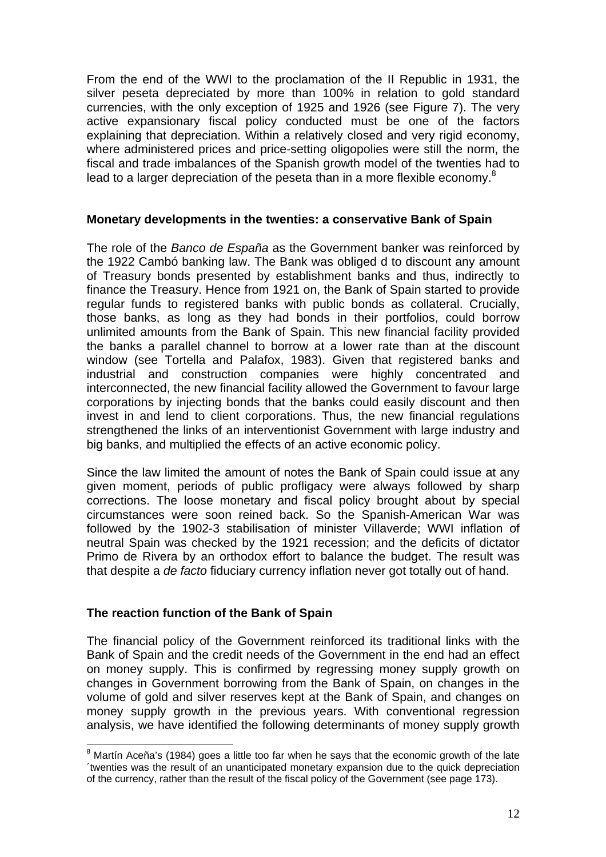From the end of the WWI to the proclamation of the II Republic in 1931, the silver peseta depreciated by more than 100% in relation to gold standard currencies, with the only exception of 1925 and 1926 (see Figure 7). The very active expansionary fiscal policy conducted must be one of the factors explaining that depreciation. Within a relatively closed and very rigid economy, where administered prices and price-setting oligopolies were still the norm, the fiscal and trade imbalances of the Spanish growth model of the twenties had to lead to a larger depreciation of the peseta than in a more flexible economy.<sup>8</sup>

### **Monetary developments in the twenties: a conservative Bank of Spain**

The role of the *Banco de España* as the Government banker was reinforced by the 1922 Cambó banking law. The Bank was obliged d to discount any amount of Treasury bonds presented by establishment banks and thus, indirectly to finance the Treasury. Hence from 1921 on, the Bank of Spain started to provide regular funds to registered banks with public bonds as collateral. Crucially, those banks, as long as they had bonds in their portfolios, could borrow unlimited amounts from the Bank of Spain. This new financial facility provided the banks a parallel channel to borrow at a lower rate than at the discount window (see Tortella and Palafox, 1983). Given that registered banks and industrial and construction companies were highly concentrated and interconnected, the new financial facility allowed the Government to favour large corporations by injecting bonds that the banks could easily discount and then invest in and lend to client corporations. Thus, the new financial regulations strengthened the links of an interventionist Government with large industry and big banks, and multiplied the effects of an active economic policy.

Since the law limited the amount of notes the Bank of Spain could issue at any given moment, periods of public profligacy were always followed by sharp corrections. The loose monetary and fiscal policy brought about by special circumstances were soon reined back. So the Spanish-American War was followed by the 1902-3 stabilisation of minister Villaverde; WWI inflation of neutral Spain was checked by the 1921 recession; and the deficits of dictator Primo de Rivera by an orthodox effort to balance the budget. The result was that despite a *de facto* fiduciary currency inflation never got totally out of hand.

### **The reaction function of the Bank of Spain**

 $\overline{a}$ 

The financial policy of the Government reinforced its traditional links with the Bank of Spain and the credit needs of the Government in the end had an effect on money supply. This is confirmed by regressing money supply growth on changes in Government borrowing from the Bank of Spain, on changes in the volume of gold and silver reserves kept at the Bank of Spain, and changes on money supply growth in the previous years. With conventional regression analysis, we have identified the following determinants of money supply growth

<sup>&</sup>lt;sup>8</sup> Martín Aceña's (1984) goes a little too far when he says that the economic growth of the late ´twenties was the result of an unanticipated monetary expansion due to the quick depreciation of the currency, rather than the result of the fiscal policy of the Government (see page 173).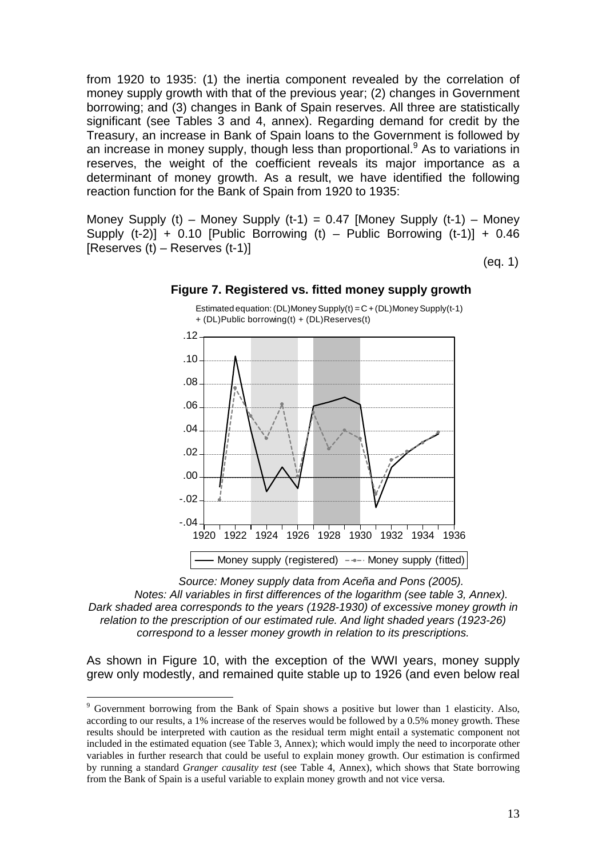from 1920 to 1935: (1) the inertia component revealed by the correlation of money supply growth with that of the previous year; (2) changes in Government borrowing; and (3) changes in Bank of Spain reserves. All three are statistically significant (see Tables 3 and 4, annex). Regarding demand for credit by the Treasury, an increase in Bank of Spain loans to the Government is followed by an increase in money supply, though less than proportional.  $9$  As to variations in reserves, the weight of the coefficient reveals its major importance as a determinant of money growth. As a result, we have identified the following reaction function for the Bank of Spain from 1920 to 1935:

Money Supply (t) – Money Supply (t-1) = 0.47 [Money Supply (t-1) – Money Supply  $(t-2)$ ] + 0.10 [Public Borrowing  $(t)$  – Public Borrowing  $(t-1)$ ] + 0.46 [Reserves (t) – Reserves (t-1)]

(eq. 1)



#### **Figure 7. Registered vs. fitted money supply growth**

*Source: Money supply data from Aceña and Pons (2005). Notes: All variables in first differences of the logarithm (see table 3, Annex). Dark shaded area corresponds to the years (1928-1930) of excessive money growth in relation to the prescription of our estimated rule. And light shaded years (1923-26) correspond to a lesser money growth in relation to its prescriptions.* 

As shown in Figure 10, with the exception of the WWI years, money supply grew only modestly, and remained quite stable up to 1926 (and even below real

 $\overline{a}$ 

<sup>&</sup>lt;sup>9</sup> Government borrowing from the Bank of Spain shows a positive but lower than 1 elasticity. Also, according to our results, a 1% increase of the reserves would be followed by a 0.5% money growth. These results should be interpreted with caution as the residual term might entail a systematic component not included in the estimated equation (see Table 3, Annex); which would imply the need to incorporate other variables in further research that could be useful to explain money growth. Our estimation is confirmed by running a standard *Granger causality test* (see Table 4, Annex), which shows that State borrowing from the Bank of Spain is a useful variable to explain money growth and not vice versa.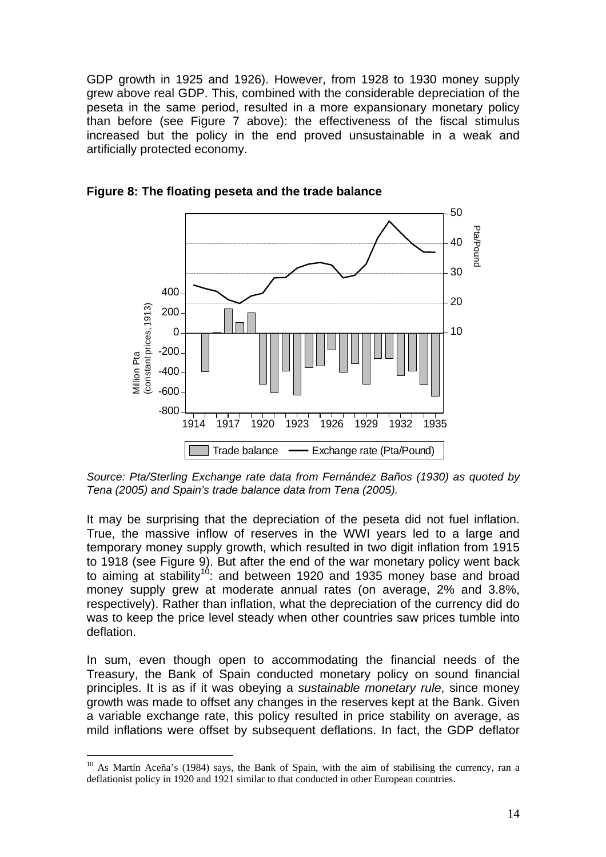GDP growth in 1925 and 1926). However, from 1928 to 1930 money supply grew above real GDP. This, combined with the considerable depreciation of the peseta in the same period, resulted in a more expansionary monetary policy than before (see Figure 7 above): the effectiveness of the fiscal stimulus increased but the policy in the end proved unsustainable in a weak and artificially protected economy.





*Source: Pta/Sterling Exchange rate data from Fernández Baños (1930) as quoted by Tena (2005) and Spain's trade balance data from Tena (2005).*

It may be surprising that the depreciation of the peseta did not fuel inflation. True, the massive inflow of reserves in the WWI years led to a large and temporary money supply growth, which resulted in two digit inflation from 1915 to 1918 (see Figure 9). But after the end of the war monetary policy went back to aiming at stability<sup>10</sup>: and between 1920 and 1935 money base and broad money supply grew at moderate annual rates (on average, 2% and 3.8%, respectively). Rather than inflation, what the depreciation of the currency did do was to keep the price level steady when other countries saw prices tumble into deflation.

In sum, even though open to accommodating the financial needs of the Treasury, the Bank of Spain conducted monetary policy on sound financial principles. It is as if it was obeying a *sustainable monetary rule*, since money growth was made to offset any changes in the reserves kept at the Bank. Given a variable exchange rate, this policy resulted in price stability on average, as mild inflations were offset by subsequent deflations. In fact, the GDP deflator

 $\overline{a}$ 

<sup>&</sup>lt;sup>10</sup> As Martín Aceña's (1984) says, the Bank of Spain, with the aim of stabilising the currency, ran a deflationist policy in 1920 and 1921 similar to that conducted in other European countries.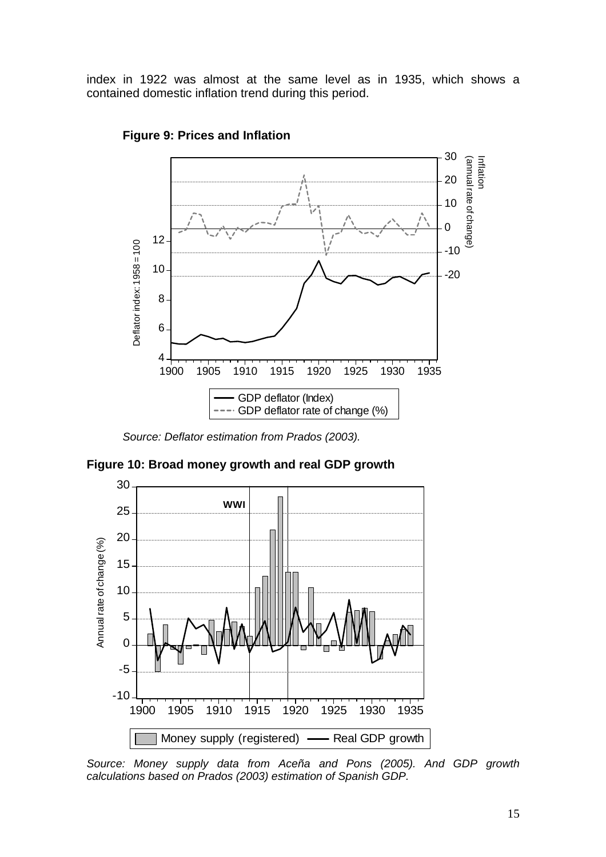index in 1922 was almost at the same level as in 1935, which shows a contained domestic inflation trend during this period.



#### **Figure 9: Prices and Inflation**

*Source: Deflator estimation from Prados (2003).* 

**Figure 10: Broad money growth and real GDP growth** 



*Source: Money supply data from Aceña and Pons (2005). And GDP growth calculations based on Prados (2003) estimation of Spanish GDP.*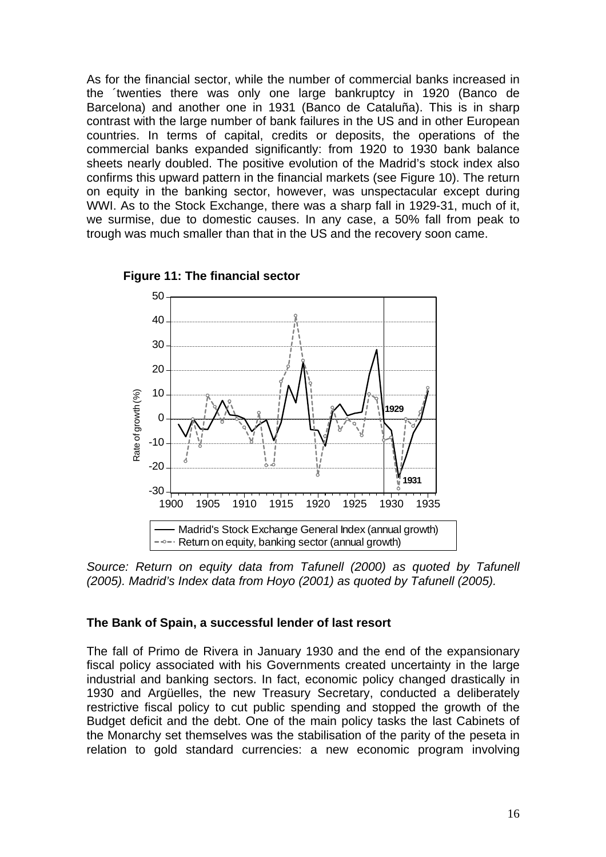As for the financial sector, while the number of commercial banks increased in the ´twenties there was only one large bankruptcy in 1920 (Banco de Barcelona) and another one in 1931 (Banco de Cataluña). This is in sharp contrast with the large number of bank failures in the US and in other European countries. In terms of capital, credits or deposits, the operations of the commercial banks expanded significantly: from 1920 to 1930 bank balance sheets nearly doubled. The positive evolution of the Madrid's stock index also confirms this upward pattern in the financial markets (see Figure 10). The return on equity in the banking sector, however, was unspectacular except during WWI. As to the Stock Exchange, there was a sharp fall in 1929-31, much of it, we surmise, due to domestic causes. In any case, a 50% fall from peak to trough was much smaller than that in the US and the recovery soon came.



**Figure 11: The financial sector**

*Source: Return on equity data from Tafunell (2000) as quoted by Tafunell (2005). Madrid's Index data from Hoyo (2001) as quoted by Tafunell (2005).* 

#### **The Bank of Spain, a successful lender of last resort**

The fall of Primo de Rivera in January 1930 and the end of the expansionary fiscal policy associated with his Governments created uncertainty in the large industrial and banking sectors. In fact, economic policy changed drastically in 1930 and Argüelles, the new Treasury Secretary, conducted a deliberately restrictive fiscal policy to cut public spending and stopped the growth of the Budget deficit and the debt. One of the main policy tasks the last Cabinets of the Monarchy set themselves was the stabilisation of the parity of the peseta in relation to gold standard currencies: a new economic program involving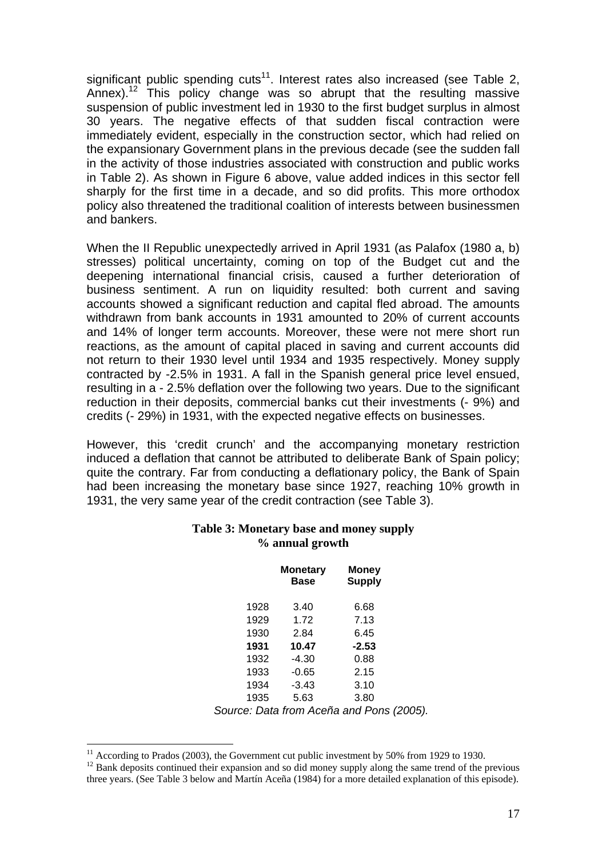significant public spending cuts<sup>11</sup>. Interest rates also increased (see Table 2, Annex).<sup>12</sup> This policy change was so abrupt that the resulting massive suspension of public investment led in 1930 to the first budget surplus in almost 30 years. The negative effects of that sudden fiscal contraction were immediately evident, especially in the construction sector, which had relied on the expansionary Government plans in the previous decade (see the sudden fall in the activity of those industries associated with construction and public works in Table 2). As shown in Figure 6 above, value added indices in this sector fell sharply for the first time in a decade, and so did profits. This more orthodox policy also threatened the traditional coalition of interests between businessmen and bankers.

When the II Republic unexpectedly arrived in April 1931 (as Palafox (1980 a, b) stresses) political uncertainty, coming on top of the Budget cut and the deepening international financial crisis, caused a further deterioration of business sentiment. A run on liquidity resulted: both current and saving accounts showed a significant reduction and capital fled abroad. The amounts withdrawn from bank accounts in 1931 amounted to 20% of current accounts and 14% of longer term accounts. Moreover, these were not mere short run reactions, as the amount of capital placed in saving and current accounts did not return to their 1930 level until 1934 and 1935 respectively. Money supply contracted by -2.5% in 1931. A fall in the Spanish general price level ensued, resulting in a - 2.5% deflation over the following two years. Due to the significant reduction in their deposits, commercial banks cut their investments (- 9%) and credits (- 29%) in 1931, with the expected negative effects on businesses.

However, this 'credit crunch' and the accompanying monetary restriction induced a deflation that cannot be attributed to deliberate Bank of Spain policy; quite the contrary. Far from conducting a deflationary policy, the Bank of Spain had been increasing the monetary base since 1927, reaching 10% growth in 1931, the very same year of the credit contraction (see Table 3).

|      | <b>Monetary</b><br>Base | Money<br><b>Supply</b> |
|------|-------------------------|------------------------|
| 1928 | 3.40                    | 6.68                   |
| 1929 | 1.72                    | 7.13                   |
| 1930 | 2.84                    | 6.45                   |
| 1931 | 10.47                   | $-2.53$                |
| 1932 | $-4.30$                 | 0.88                   |
| 1933 | $-0.65$                 | 2.15                   |
| 1934 | $-3.43$                 | 3.10                   |
| 1935 | 5.63                    | 3.80                   |

#### **Table 3: Monetary base and money supply % annual growth**

*Source: Data from Aceña and Pons (2005).* 

 $\overline{a}$ 

 $11$  According to Prados (2003), the Government cut public investment by 50% from 1929 to 1930.

<sup>&</sup>lt;sup>12</sup> Bank deposits continued their expansion and so did money supply along the same trend of the previous three years. (See Table 3 below and Martín Aceña (1984) for a more detailed explanation of this episode).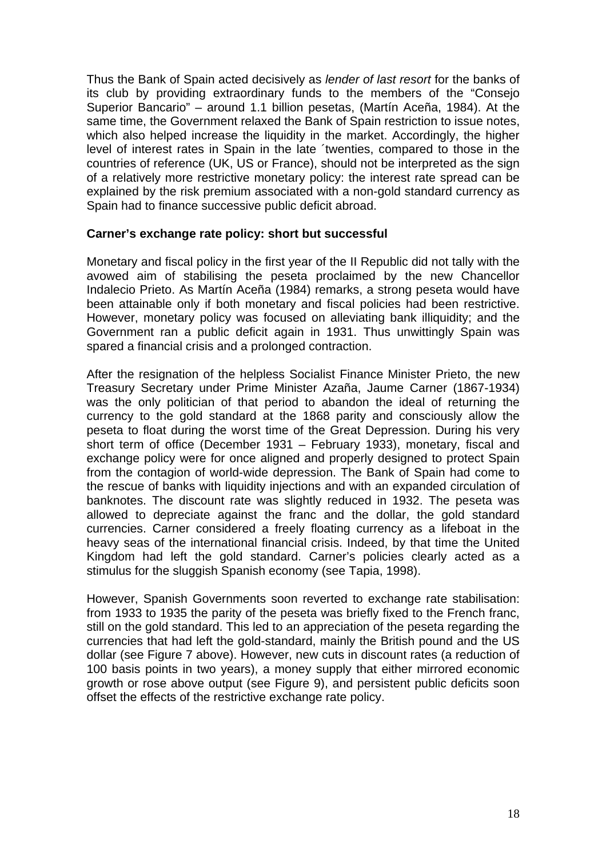Thus the Bank of Spain acted decisively as *lender of last resort* for the banks of its club by providing extraordinary funds to the members of the "Consejo Superior Bancario" – around 1.1 billion pesetas, (Martín Aceña, 1984). At the same time, the Government relaxed the Bank of Spain restriction to issue notes, which also helped increase the liquidity in the market. Accordingly, the higher level of interest rates in Spain in the late ´twenties, compared to those in the countries of reference (UK, US or France), should not be interpreted as the sign of a relatively more restrictive monetary policy: the interest rate spread can be explained by the risk premium associated with a non-gold standard currency as Spain had to finance successive public deficit abroad.

### **Carner's exchange rate policy: short but successful**

Monetary and fiscal policy in the first year of the II Republic did not tally with the avowed aim of stabilising the peseta proclaimed by the new Chancellor Indalecio Prieto. As Martín Aceña (1984) remarks, a strong peseta would have been attainable only if both monetary and fiscal policies had been restrictive. However, monetary policy was focused on alleviating bank illiquidity; and the Government ran a public deficit again in 1931. Thus unwittingly Spain was spared a financial crisis and a prolonged contraction.

After the resignation of the helpless Socialist Finance Minister Prieto, the new Treasury Secretary under Prime Minister Azaña, Jaume Carner (1867-1934) was the only politician of that period to abandon the ideal of returning the currency to the gold standard at the 1868 parity and consciously allow the peseta to float during the worst time of the Great Depression. During his very short term of office (December 1931 – February 1933), monetary, fiscal and exchange policy were for once aligned and properly designed to protect Spain from the contagion of world-wide depression. The Bank of Spain had come to the rescue of banks with liquidity injections and with an expanded circulation of banknotes. The discount rate was slightly reduced in 1932. The peseta was allowed to depreciate against the franc and the dollar, the gold standard currencies. Carner considered a freely floating currency as a lifeboat in the heavy seas of the international financial crisis. Indeed, by that time the United Kingdom had left the gold standard. Carner's policies clearly acted as a stimulus for the sluggish Spanish economy (see Tapia, 1998).

However, Spanish Governments soon reverted to exchange rate stabilisation: from 1933 to 1935 the parity of the peseta was briefly fixed to the French franc, still on the gold standard. This led to an appreciation of the peseta regarding the currencies that had left the gold-standard, mainly the British pound and the US dollar (see Figure 7 above). However, new cuts in discount rates (a reduction of 100 basis points in two years), a money supply that either mirrored economic growth or rose above output (see Figure 9), and persistent public deficits soon offset the effects of the restrictive exchange rate policy.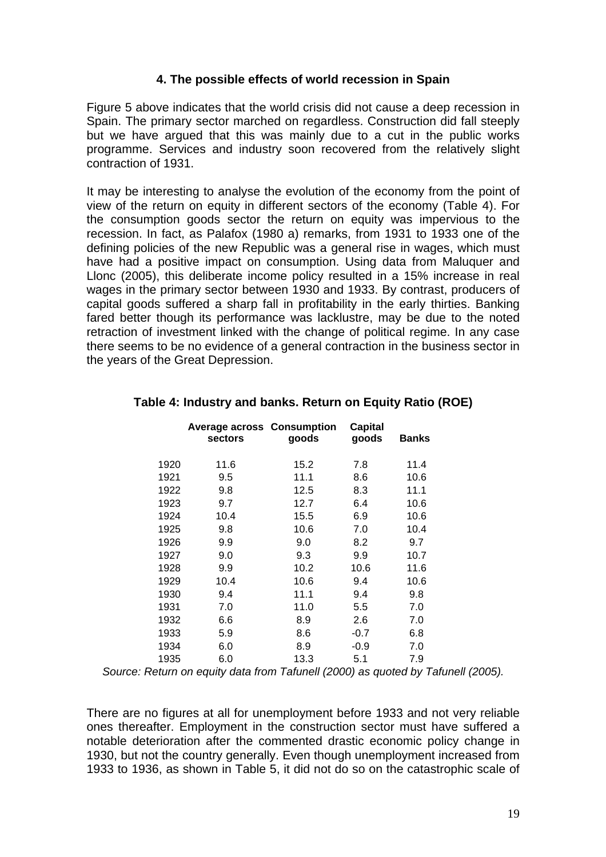### **4. The possible effects of world recession in Spain**

Figure 5 above indicates that the world crisis did not cause a deep recession in Spain. The primary sector marched on regardless. Construction did fall steeply but we have argued that this was mainly due to a cut in the public works programme. Services and industry soon recovered from the relatively slight contraction of 1931.

It may be interesting to analyse the evolution of the economy from the point of view of the return on equity in different sectors of the economy (Table 4). For the consumption goods sector the return on equity was impervious to the recession. In fact, as Palafox (1980 a) remarks, from 1931 to 1933 one of the defining policies of the new Republic was a general rise in wages, which must have had a positive impact on consumption. Using data from Maluquer and Llonc (2005), this deliberate income policy resulted in a 15% increase in real wages in the primary sector between 1930 and 1933. By contrast, producers of capital goods suffered a sharp fall in profitability in the early thirties. Banking fared better though its performance was lacklustre, may be due to the noted retraction of investment linked with the change of political regime. In any case there seems to be no evidence of a general contraction in the business sector in the years of the Great Depression.

|      | <b>Average across Consumption</b><br>sectors | goods | <b>Capital</b><br>goods | <b>Banks</b> |  |
|------|----------------------------------------------|-------|-------------------------|--------------|--|
| 1920 | 11.6                                         | 15.2  | 7.8                     | 11.4         |  |
| 1921 | 9.5                                          | 11.1  | 8.6                     | 10.6         |  |
| 1922 | 9.8                                          | 12.5  | 8.3                     | 11.1         |  |
| 1923 | 9.7                                          | 12.7  | 6.4                     | 10.6         |  |
| 1924 | 10.4                                         | 15.5  | 6.9                     | 10.6         |  |
| 1925 | 9.8                                          | 10.6  | 7.0                     | 10.4         |  |
| 1926 | 9.9                                          | 9.0   | 8.2                     | 9.7          |  |
| 1927 | 9.0                                          | 9.3   | 9.9                     | 10.7         |  |
| 1928 | 9.9                                          | 10.2  | 10.6                    | 11.6         |  |
| 1929 | 10.4                                         | 10.6  | 9.4                     | 10.6         |  |
| 1930 | 9.4                                          | 11.1  | 9.4                     | 9.8          |  |
| 1931 | 7.0                                          | 11.0  | 5.5                     | 7.0          |  |
| 1932 | 6.6                                          | 8.9   | 2.6                     | 7.0          |  |
| 1933 | 5.9                                          | 8.6   | $-0.7$                  | 6.8          |  |
| 1934 | 6.0                                          | 8.9   | $-0.9$                  | 7.0          |  |
| 1935 | 6.0                                          | 13.3  | 5.1                     | 7.9          |  |

### **Table 4: Industry and banks. Return on Equity Ratio (ROE)**

*Source: Return on equity data from Tafunell (2000) as quoted by Tafunell (2005).*

There are no figures at all for unemployment before 1933 and not very reliable ones thereafter. Employment in the construction sector must have suffered a notable deterioration after the commented drastic economic policy change in 1930, but not the country generally. Even though unemployment increased from 1933 to 1936, as shown in Table 5, it did not do so on the catastrophic scale of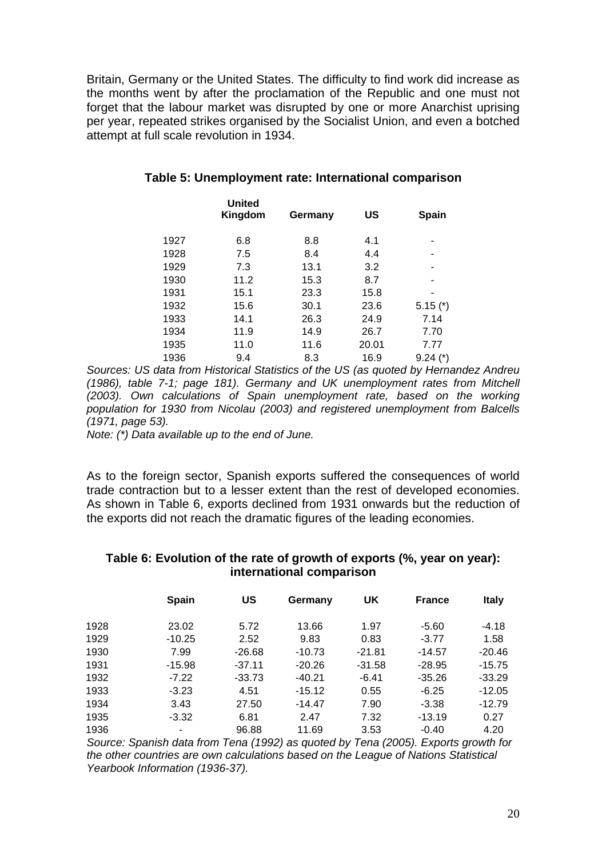Britain, Germany or the United States. The difficulty to find work did increase as the months went by after the proclamation of the Republic and one must not forget that the labour market was disrupted by one or more Anarchist uprising per year, repeated strikes organised by the Socialist Union, and even a botched attempt at full scale revolution in 1934.

|      | <b>United</b><br>Kingdom | Germany | US    | Spain        |
|------|--------------------------|---------|-------|--------------|
| 1927 | 6.8                      | 8.8     | 4.1   |              |
| 1928 | 7.5                      | 8.4     | 4.4   |              |
| 1929 | 7.3                      | 13.1    | 3.2   | ۰            |
| 1930 | 11.2                     | 15.3    | 8.7   | ۰            |
| 1931 | 15.1                     | 23.3    | 15.8  |              |
| 1932 | 15.6                     | 30.1    | 23.6  | $5.15$ $(*)$ |
| 1933 | 14.1                     | 26.3    | 24.9  | 7.14         |
| 1934 | 11.9                     | 14.9    | 26.7  | 7.70         |
| 1935 | 11.0                     | 11.6    | 20.01 | 7.77         |
| 1936 | 9.4                      | 8.3     | 16.9  | $9.24$ (*)   |

### **Table 5: Unemployment rate: International comparison**

*Sources: US data from Historical Statistics of the US (as quoted by Hernandez Andreu (1986), table 7-1; page 181). Germany and UK unemployment rates from Mitchell (2003). Own calculations of Spain unemployment rate, based on the working population for 1930 from Nicolau (2003) and registered unemployment from Balcells (1971, page 53).* 

*Note: (\*) Data available up to the end of June.*

As to the foreign sector, Spanish exports suffered the consequences of world trade contraction but to a lesser extent than the rest of developed economies. As shown in Table 6, exports declined from 1931 onwards but the reduction of the exports did not reach the dramatic figures of the leading economies.

#### **Table 6: Evolution of the rate of growth of exports (%, year on year): international comparison**

|      | <b>Spain</b> | US       | Germany  | UK       | <b>France</b> | <b>Italy</b> |
|------|--------------|----------|----------|----------|---------------|--------------|
| 1928 | 23.02        | 5.72     | 13.66    | 1.97     | $-5.60$       | $-4.18$      |
| 1929 | $-10.25$     | 2.52     | 9.83     | 0.83     | $-3.77$       | 1.58         |
| 1930 | 7.99         | $-26.68$ | $-10.73$ | $-21.81$ | $-14.57$      | $-20.46$     |
| 1931 | $-15.98$     | $-37.11$ | $-20.26$ | $-31.58$ | $-28.95$      | $-15.75$     |
| 1932 | $-7.22$      | $-33.73$ | $-40.21$ | $-6.41$  | $-35.26$      | $-33.29$     |
| 1933 | $-3.23$      | 4.51     | $-15.12$ | 0.55     | $-6.25$       | $-12.05$     |
| 1934 | 3.43         | 27.50    | $-14.47$ | 7.90     | $-3.38$       | $-12.79$     |
| 1935 | $-3.32$      | 6.81     | 2.47     | 7.32     | $-13.19$      | 0.27         |
| 1936 |              | 96.88    | 11.69    | 3.53     | $-0.40$       | 4.20         |

*Source: Spanish data from Tena (1992) as quoted by Tena (2005). Exports growth for the other countries are own calculations based on the League of Nations Statistical Yearbook Information (1936-37).*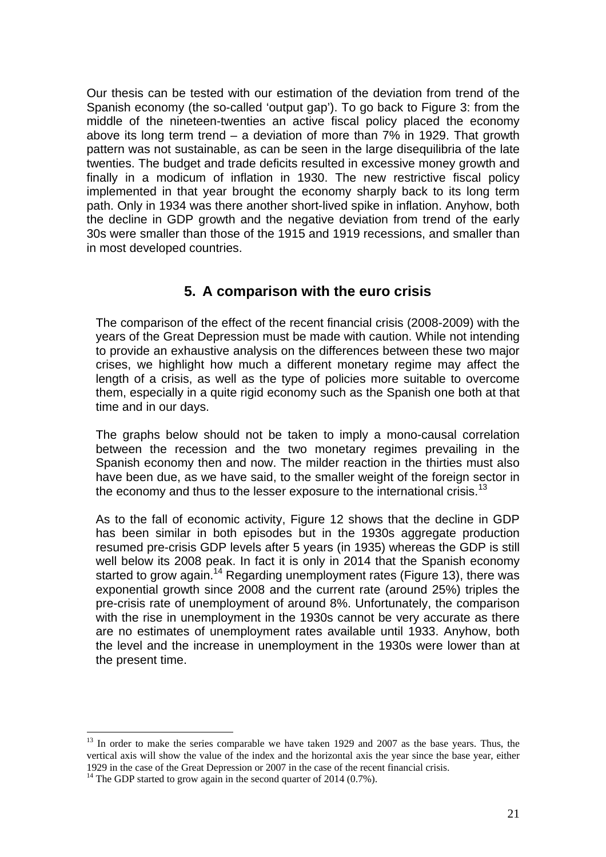Our thesis can be tested with our estimation of the deviation from trend of the Spanish economy (the so-called 'output gap'). To go back to Figure 3: from the middle of the nineteen-twenties an active fiscal policy placed the economy above its long term trend – a deviation of more than 7% in 1929. That growth pattern was not sustainable, as can be seen in the large disequilibria of the late twenties. The budget and trade deficits resulted in excessive money growth and finally in a modicum of inflation in 1930. The new restrictive fiscal policy implemented in that year brought the economy sharply back to its long term path. Only in 1934 was there another short-lived spike in inflation. Anyhow, both the decline in GDP growth and the negative deviation from trend of the early 30s were smaller than those of the 1915 and 1919 recessions, and smaller than in most developed countries.

# **5. A comparison with the euro crisis**

The comparison of the effect of the recent financial crisis (2008-2009) with the years of the Great Depression must be made with caution. While not intending to provide an exhaustive analysis on the differences between these two major crises, we highlight how much a different monetary regime may affect the length of a crisis, as well as the type of policies more suitable to overcome them, especially in a quite rigid economy such as the Spanish one both at that time and in our days.

The graphs below should not be taken to imply a mono-causal correlation between the recession and the two monetary regimes prevailing in the Spanish economy then and now. The milder reaction in the thirties must also have been due, as we have said, to the smaller weight of the foreign sector in the economy and thus to the lesser exposure to the international crisis.<sup>13</sup>

As to the fall of economic activity, Figure 12 shows that the decline in GDP has been similar in both episodes but in the 1930s aggregate production resumed pre-crisis GDP levels after 5 years (in 1935) whereas the GDP is still well below its 2008 peak. In fact it is only in 2014 that the Spanish economy started to grow again.<sup>14</sup> Regarding unemployment rates (Figure 13), there was exponential growth since 2008 and the current rate (around 25%) triples the pre-crisis rate of unemployment of around 8%. Unfortunately, the comparison with the rise in unemployment in the 1930s cannot be very accurate as there are no estimates of unemployment rates available until 1933. Anyhow, both the level and the increase in unemployment in the 1930s were lower than at the present time.

 $\overline{a}$ 

<sup>&</sup>lt;sup>13</sup> In order to make the series comparable we have taken 1929 and 2007 as the base years. Thus, the vertical axis will show the value of the index and the horizontal axis the year since the base year, either 1929 in the case of the Great Depression or 2007 in the case of the recent financial crisis. 14 The GDP started to grow again in the second quarter of 2014 (0.7%).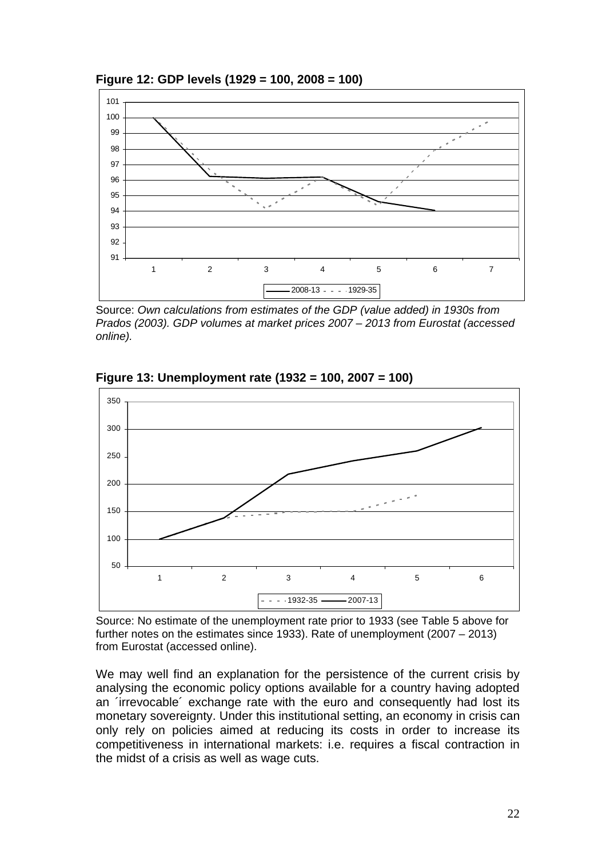



Source: *Own calculations from estimates of the GDP (value added) in 1930s from Prados (2003). GDP volumes at market prices 2007 – 2013 from Eurostat (accessed online).* 



**Figure 13: Unemployment rate (1932 = 100, 2007 = 100)** 

Source: No estimate of the unemployment rate prior to 1933 (see Table 5 above for further notes on the estimates since 1933). Rate of unemployment (2007 – 2013) from Eurostat (accessed online).

We may well find an explanation for the persistence of the current crisis by analysing the economic policy options available for a country having adopted an ´irrevocable´ exchange rate with the euro and consequently had lost its monetary sovereignty. Under this institutional setting, an economy in crisis can only rely on policies aimed at reducing its costs in order to increase its competitiveness in international markets: i.e. requires a fiscal contraction in the midst of a crisis as well as wage cuts.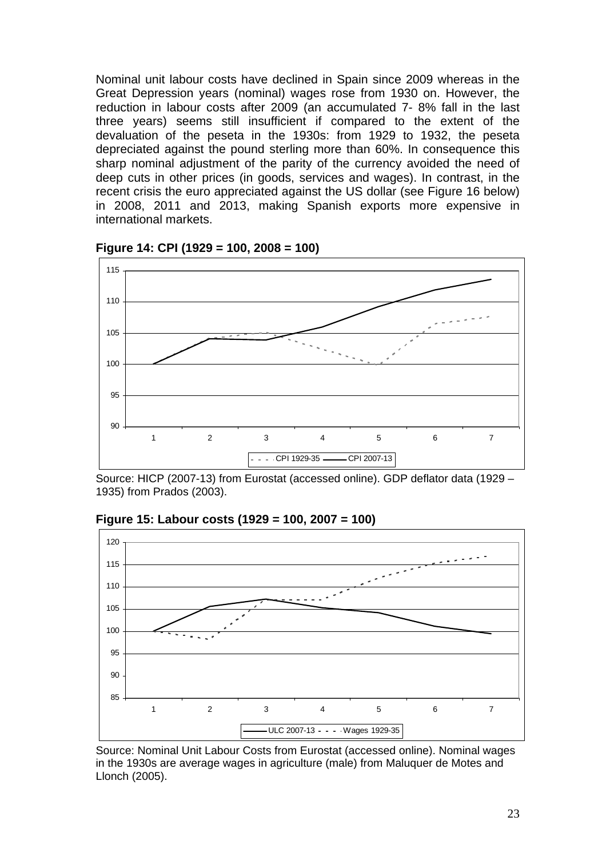Nominal unit labour costs have declined in Spain since 2009 whereas in the Great Depression years (nominal) wages rose from 1930 on. However, the reduction in labour costs after 2009 (an accumulated 7- 8% fall in the last three years) seems still insufficient if compared to the extent of the devaluation of the peseta in the 1930s: from 1929 to 1932, the peseta depreciated against the pound sterling more than 60%. In consequence this sharp nominal adjustment of the parity of the currency avoided the need of deep cuts in other prices (in goods, services and wages). In contrast, in the recent crisis the euro appreciated against the US dollar (see Figure 16 below) in 2008, 2011 and 2013, making Spanish exports more expensive in international markets.



**Figure 14: CPI (1929 = 100, 2008 = 100)** 

Source: HICP (2007-13) from Eurostat (accessed online). GDP deflator data (1929 – 1935) from Prados (2003).



**Figure 15: Labour costs (1929 = 100, 2007 = 100)** 

Source: Nominal Unit Labour Costs from Eurostat (accessed online). Nominal wages in the 1930s are average wages in agriculture (male) from Maluquer de Motes and Llonch (2005).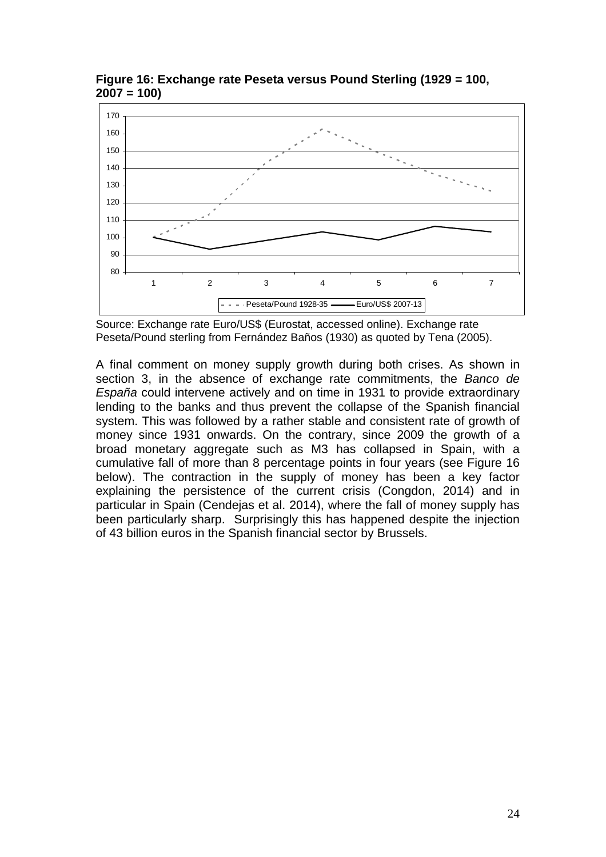

**Figure 16: Exchange rate Peseta versus Pound Sterling (1929 = 100, 2007 = 100)** 

Source: Exchange rate Euro/US\$ (Eurostat, accessed online). Exchange rate Peseta/Pound sterling from Fernández Baños (1930) as quoted by Tena (2005).

A final comment on money supply growth during both crises. As shown in section 3, in the absence of exchange rate commitments, the *Banco de España* could intervene actively and on time in 1931 to provide extraordinary lending to the banks and thus prevent the collapse of the Spanish financial system. This was followed by a rather stable and consistent rate of growth of money since 1931 onwards. On the contrary, since 2009 the growth of a broad monetary aggregate such as M3 has collapsed in Spain, with a cumulative fall of more than 8 percentage points in four years (see Figure 16 below). The contraction in the supply of money has been a key factor explaining the persistence of the current crisis (Congdon, 2014) and in particular in Spain (Cendejas et al. 2014), where the fall of money supply has been particularly sharp. Surprisingly this has happened despite the injection of 43 billion euros in the Spanish financial sector by Brussels.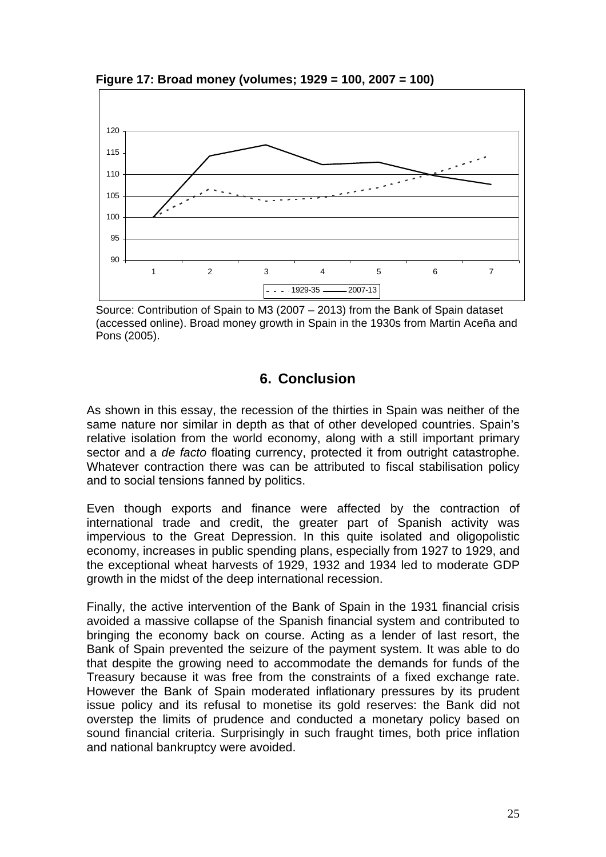

**Figure 17: Broad money (volumes; 1929 = 100, 2007 = 100)** 

Source: Contribution of Spain to M3 (2007 – 2013) from the Bank of Spain dataset (accessed online). Broad money growth in Spain in the 1930s from Martin Aceña and Pons (2005).

# **6. Conclusion**

As shown in this essay, the recession of the thirties in Spain was neither of the same nature nor similar in depth as that of other developed countries. Spain's relative isolation from the world economy, along with a still important primary sector and a *de facto* floating currency, protected it from outright catastrophe. Whatever contraction there was can be attributed to fiscal stabilisation policy and to social tensions fanned by politics.

Even though exports and finance were affected by the contraction of international trade and credit, the greater part of Spanish activity was impervious to the Great Depression. In this quite isolated and oligopolistic economy, increases in public spending plans, especially from 1927 to 1929, and the exceptional wheat harvests of 1929, 1932 and 1934 led to moderate GDP growth in the midst of the deep international recession.

Finally, the active intervention of the Bank of Spain in the 1931 financial crisis avoided a massive collapse of the Spanish financial system and contributed to bringing the economy back on course. Acting as a lender of last resort, the Bank of Spain prevented the seizure of the payment system. It was able to do that despite the growing need to accommodate the demands for funds of the Treasury because it was free from the constraints of a fixed exchange rate. However the Bank of Spain moderated inflationary pressures by its prudent issue policy and its refusal to monetise its gold reserves: the Bank did not overstep the limits of prudence and conducted a monetary policy based on sound financial criteria. Surprisingly in such fraught times, both price inflation and national bankruptcy were avoided.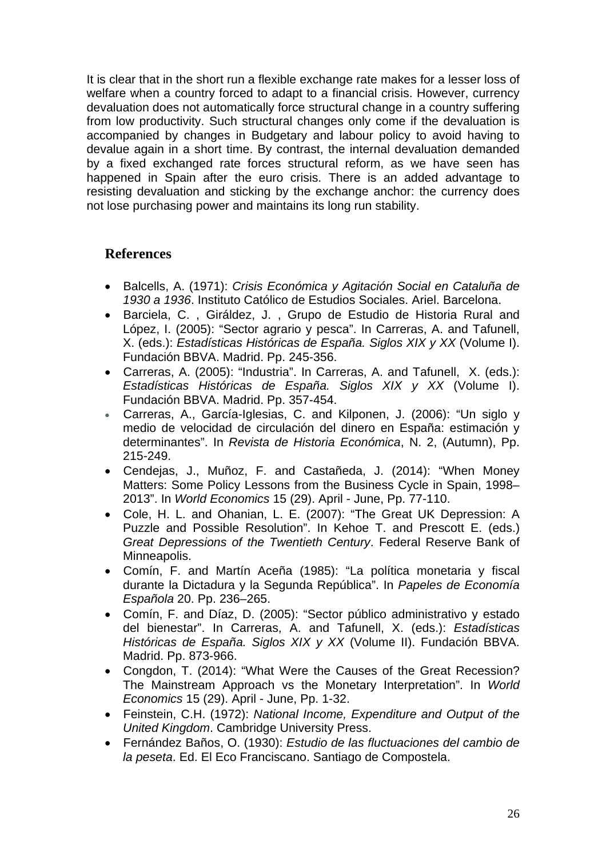It is clear that in the short run a flexible exchange rate makes for a lesser loss of welfare when a country forced to adapt to a financial crisis. However, currency devaluation does not automatically force structural change in a country suffering from low productivity. Such structural changes only come if the devaluation is accompanied by changes in Budgetary and labour policy to avoid having to devalue again in a short time. By contrast, the internal devaluation demanded by a fixed exchanged rate forces structural reform, as we have seen has happened in Spain after the euro crisis. There is an added advantage to resisting devaluation and sticking by the exchange anchor: the currency does not lose purchasing power and maintains its long run stability.

# **References**

- Balcells, A. (1971): *Crisis Económica y Agitación Social en Cataluña de 1930 a 1936*. Instituto Católico de Estudios Sociales. Ariel. Barcelona.
- Barciela, C. , Giráldez, J. , Grupo de Estudio de Historia Rural and López, I. (2005): "Sector agrario y pesca". In Carreras, A. and Tafunell, X. (eds.): *Estadísticas Históricas de España. Siglos XIX y XX* (Volume I). Fundación BBVA. Madrid. Pp. 245-356.
- Carreras, A. (2005): "Industria". In Carreras, A. and Tafunell, X. (eds.): *Estadísticas Históricas de España. Siglos XIX y XX* (Volume I). Fundación BBVA. Madrid. Pp. 357-454.
- Carreras, A., García-Iglesias, C. and Kilponen, J. (2006): "Un siglo y medio de velocidad de circulación del dinero en España: estimación y determinantes". In *Revista de Historia Económica*, N. 2, (Autumn), Pp. 215-249.
- Cendejas, J., Muñoz, F. and Castañeda, J. (2014): "When Money Matters: Some Policy Lessons from the Business Cycle in Spain, 1998– 2013". In *World Economics* 15 (29). April - June, Pp. 77-110.
- Cole, H. L. and Ohanian, L. E. (2007): "The Great UK Depression: A Puzzle and Possible Resolution". In Kehoe T. and Prescott E. (eds.) *Great Depressions of the Twentieth Century*. Federal Reserve Bank of Minneapolis.
- Comín, F. and Martín Aceña (1985): "La política monetaria y fiscal durante la Dictadura y la Segunda República". In *Papeles de Economía Española* 20. Pp. 236–265.
- Comín, F. and Díaz, D. (2005): "Sector público administrativo y estado del bienestar". In Carreras, A. and Tafunell, X. (eds.): *Estadísticas Históricas de España. Siglos XIX y XX* (Volume II). Fundación BBVA. Madrid. Pp. 873-966.
- Congdon, T. (2014): "What Were the Causes of the Great Recession? The Mainstream Approach vs the Monetary Interpretation". In *World Economics* 15 (29). April - June, Pp. 1-32.
- Feinstein, C.H. (1972): *National Income, Expenditure and Output of the United Kingdom*. Cambridge University Press.
- Fernández Baños, O. (1930): *Estudio de las fluctuaciones del cambio de la peseta*. Ed. El Eco Franciscano. Santiago de Compostela.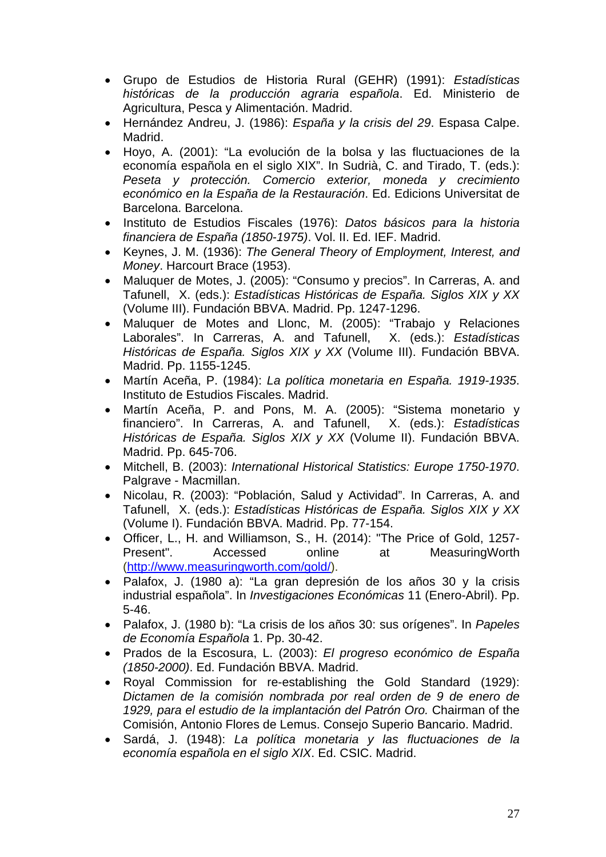- Grupo de Estudios de Historia Rural (GEHR) (1991): *Estadísticas históricas de la producción agraria española*. Ed. Ministerio de Agricultura, Pesca y Alimentación. Madrid.
- Hernández Andreu, J. (1986): *España y la crisis del 29*. Espasa Calpe. Madrid.
- Hoyo, A. (2001): "La evolución de la bolsa y las fluctuaciones de la economía española en el siglo XIX". In Sudrià, C. and Tirado, T. (eds.): *Peseta y protección. Comercio exterior, moneda y crecimiento económico en la España de la Restauración*. Ed. Edicions Universitat de Barcelona. Barcelona.
- Instituto de Estudios Fiscales (1976): *Datos básicos para la historia financiera de España (1850-1975)*. Vol. II. Ed. IEF. Madrid.
- Keynes, J. M. (1936): *The General Theory of Employment, Interest, and Money*. Harcourt Brace (1953).
- Maluquer de Motes, J. (2005): "Consumo y precios". In Carreras, A. and Tafunell, X. (eds.): *Estadísticas Históricas de España. Siglos XIX y XX* (Volume III). Fundación BBVA. Madrid. Pp. 1247-1296.
- Maluquer de Motes and Llonc, M. (2005): "Trabajo y Relaciones Laborales". In Carreras, A. and Tafunell, X. (eds.): *Estadísticas Históricas de España. Siglos XIX y XX* (Volume III). Fundación BBVA. Madrid. Pp. 1155-1245.
- Martín Aceña, P. (1984): *La política monetaria en España. 1919-1935*. Instituto de Estudios Fiscales. Madrid.
- Martín Aceña, P. and Pons, M. A. (2005): "Sistema monetario y financiero". In Carreras, A. and Tafunell, X. (eds.): *Estadísticas Históricas de España. Siglos XIX y XX* (Volume II). Fundación BBVA. Madrid. Pp. 645-706.
- Mitchell, B. (2003): *International Historical Statistics: Europe 1750-1970*. Palgrave - Macmillan.
- Nicolau, R. (2003): "Población, Salud y Actividad". In Carreras, A. and Tafunell, X. (eds.): *Estadísticas Históricas de España. Siglos XIX y XX* (Volume I). Fundación BBVA. Madrid. Pp. 77-154.
- Officer, L., H. and Williamson, S., H. (2014): "The Price of Gold, 1257- Present". Accessed online at MeasuringWorth (http://www.measuringworth.com/gold/).
- Palafox, J. (1980 a): "La gran depresión de los años 30 y la crisis industrial española". In *Investigaciones Económicas* 11 (Enero-Abril). Pp. 5-46.
- Palafox, J. (1980 b): "La crisis de los años 30: sus orígenes". In *Papeles de Economía Española* 1. Pp. 30-42.
- Prados de la Escosura, L. (2003): *El progreso económico de España (1850-2000)*. Ed. Fundación BBVA. Madrid.
- Royal Commission for re-establishing the Gold Standard (1929): *Dictamen de la comisión nombrada por real orden de 9 de enero de 1929, para el estudio de la implantación del Patrón Oro.* Chairman of the Comisión, Antonio Flores de Lemus. Consejo Superio Bancario. Madrid.
- Sardá, J. (1948): *La política monetaria y las fluctuaciones de la economía española en el siglo XIX*. Ed. CSIC. Madrid.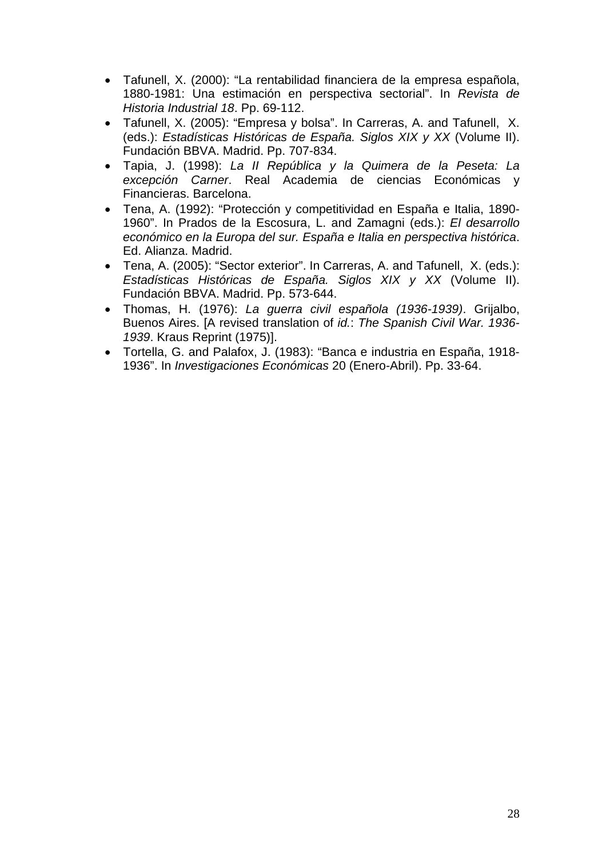- Tafunell, X. (2000): "La rentabilidad financiera de la empresa española, 1880-1981: Una estimación en perspectiva sectorial". In *Revista de Historia Industrial 18*. Pp. 69-112.
- Tafunell, X. (2005): "Empresa y bolsa". In Carreras, A. and Tafunell, X. (eds.): *Estadísticas Históricas de España. Siglos XIX y XX* (Volume II). Fundación BBVA. Madrid. Pp. 707-834.
- Tapia, J. (1998): *La II República y la Quimera de la Peseta: La excepción Carner*. Real Academia de ciencias Económicas y Financieras. Barcelona.
- Tena, A. (1992): "Protección y competitividad en España e Italia, 1890- 1960". In Prados de la Escosura, L. and Zamagni (eds.): *El desarrollo económico en la Europa del sur. España e Italia en perspectiva histórica*. Ed. Alianza. Madrid.
- Tena, A. (2005): "Sector exterior". In Carreras, A. and Tafunell, X. (eds.): *Estadísticas Históricas de España. Siglos XIX y XX* (Volume II). Fundación BBVA. Madrid. Pp. 573-644.
- Thomas, H. (1976): *La guerra civil española (1936-1939)*. Grijalbo, Buenos Aires. [A revised translation of *id.*: *The Spanish Civil War. 1936- 1939*. Kraus Reprint (1975)].
- Tortella, G. and Palafox, J. (1983): "Banca e industria en España, 1918- 1936". In *Investigaciones Económicas* 20 (Enero-Abril). Pp. 33-64.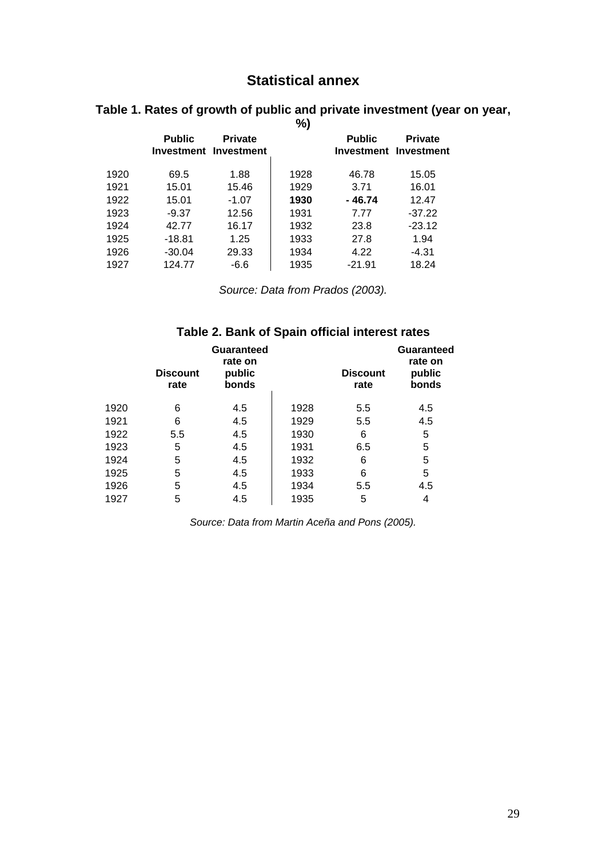# **Statistical annex**

|      |               |                                         | %)   |                                        |                |
|------|---------------|-----------------------------------------|------|----------------------------------------|----------------|
|      | <b>Public</b> | <b>Private</b><br>Investment Investment |      | <b>Public</b><br>Investment Investment | <b>Private</b> |
| 1920 | 69.5          | 1.88                                    | 1928 | 46.78                                  | 15.05          |
| 1921 | 15.01         | 15.46                                   | 1929 | 3.71                                   | 16.01          |
| 1922 | 15.01         | $-1.07$                                 | 1930 | - 46.74                                | 12.47          |
| 1923 | $-9.37$       | 12.56                                   | 1931 | 7.77                                   | $-37.22$       |
| 1924 | 42.77         | 16.17                                   | 1932 | 23.8                                   | $-23.12$       |
| 1925 | $-18.81$      | 1.25                                    | 1933 | 27.8                                   | 1.94           |
| 1926 | $-30.04$      | 29.33                                   | 1934 | 4.22                                   | $-4.31$        |
| 1927 | 124.77        | -6.6                                    | 1935 | $-21.91$                               | 18.24          |

# **Table 1. Rates of growth of public and private investment (year on year,**

*Source: Data from Prados (2003).*

# **Table 2. Bank of Spain official interest rates**

|      | <b>Discount</b><br>rate | Guaranteed<br>rate on<br>public<br>bonds |      | <b>Discount</b><br>rate | Guaranteed<br>rate on<br>public<br>bonds |
|------|-------------------------|------------------------------------------|------|-------------------------|------------------------------------------|
| 1920 | 6                       | 4.5                                      | 1928 | 5.5                     | 4.5                                      |
| 1921 | 6                       | 4.5                                      | 1929 | 5.5                     | 4.5                                      |
| 1922 | 5.5                     | 4.5                                      | 1930 | 6                       | 5                                        |
| 1923 | 5                       | 4.5                                      | 1931 | 6.5                     | 5                                        |
| 1924 | 5                       | 4.5                                      | 1932 | 6                       | 5                                        |
| 1925 | 5                       | 4.5                                      | 1933 | 6                       | 5                                        |
| 1926 | 5                       | 4.5                                      | 1934 | 5.5                     | 4.5                                      |
| 1927 | 5                       | 4.5                                      | 1935 | 5                       | 4                                        |

*Source: Data from Martin Aceña and Pons (2005).*